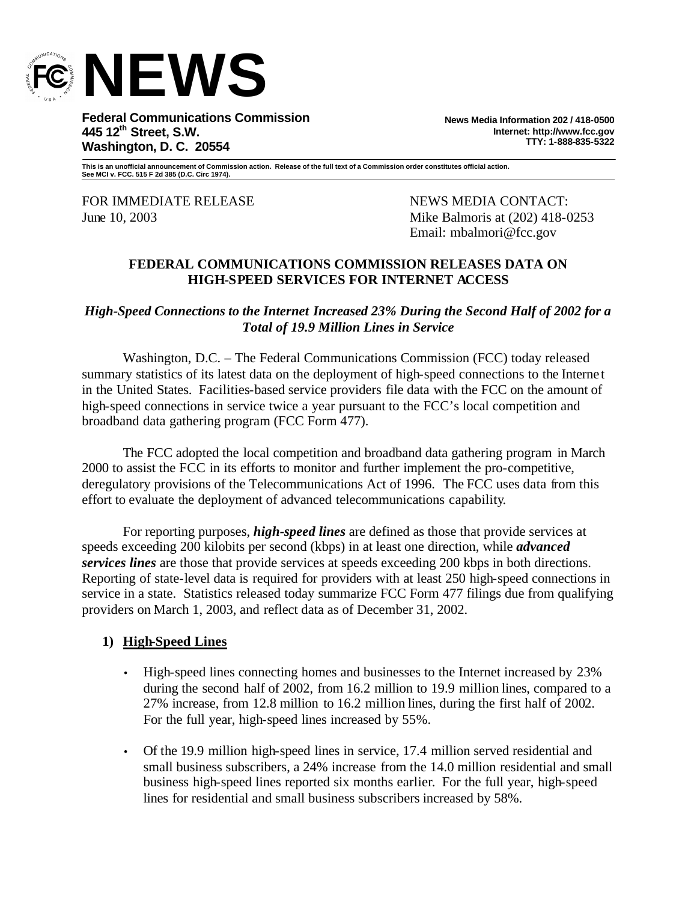

**Federal Communications Commission 445 12th Street, S.W. Washington, D. C. 20554**

**News Media Information 202 / 418-0500 Internet: http://www.fcc.gov TTY: 1-888-835-5322**

**This is an unofficial announcement of Commission action. Release of the full text of a Commission order constitutes official action. See MCI v. FCC. 515 F 2d 385 (D.C. Circ 1974).**

FOR IMMEDIATE RELEASE NEWS MEDIA CONTACT:

June 10, 2003 Mike Balmoris at (202) 418-0253 Email: mbalmori@fcc.gov

### **FEDERAL COMMUNICATIONS COMMISSION RELEASES DATA ON HIGH-SPEED SERVICES FOR INTERNET ACCESS**

*High-Speed Connections to the Internet Increased 23% During the Second Half of 2002 for a Total of 19.9 Million Lines in Service*

Washington, D.C. – The Federal Communications Commission (FCC) today released summary statistics of its latest data on the deployment of high-speed connections to the Internet in the United States. Facilities-based service providers file data with the FCC on the amount of high-speed connections in service twice a year pursuant to the FCC's local competition and broadband data gathering program (FCC Form 477).

The FCC adopted the local competition and broadband data gathering program in March 2000 to assist the FCC in its efforts to monitor and further implement the pro-competitive, deregulatory provisions of the Telecommunications Act of 1996. The FCC uses data from this effort to evaluate the deployment of advanced telecommunications capability.

For reporting purposes, *high-speed lines* are defined as those that provide services at speeds exceeding 200 kilobits per second (kbps) in at least one direction, while *advanced services lines* are those that provide services at speeds exceeding 200 kbps in both directions. Reporting of state-level data is required for providers with at least 250 high-speed connections in service in a state. Statistics released today summarize FCC Form 477 filings due from qualifying providers on March 1, 2003, and reflect data as of December 31, 2002.

## **1) High-Speed Lines**

- High-speed lines connecting homes and businesses to the Internet increased by 23% during the second half of 2002, from 16.2 million to 19.9 million lines, compared to a 27% increase, from 12.8 million to 16.2 million lines, during the first half of 2002. For the full year, high-speed lines increased by 55%.
- Of the 19.9 million high-speed lines in service, 17.4 million served residential and small business subscribers, a 24% increase from the 14.0 million residential and small business high-speed lines reported six months earlier. For the full year, high-speed lines for residential and small business subscribers increased by 58%.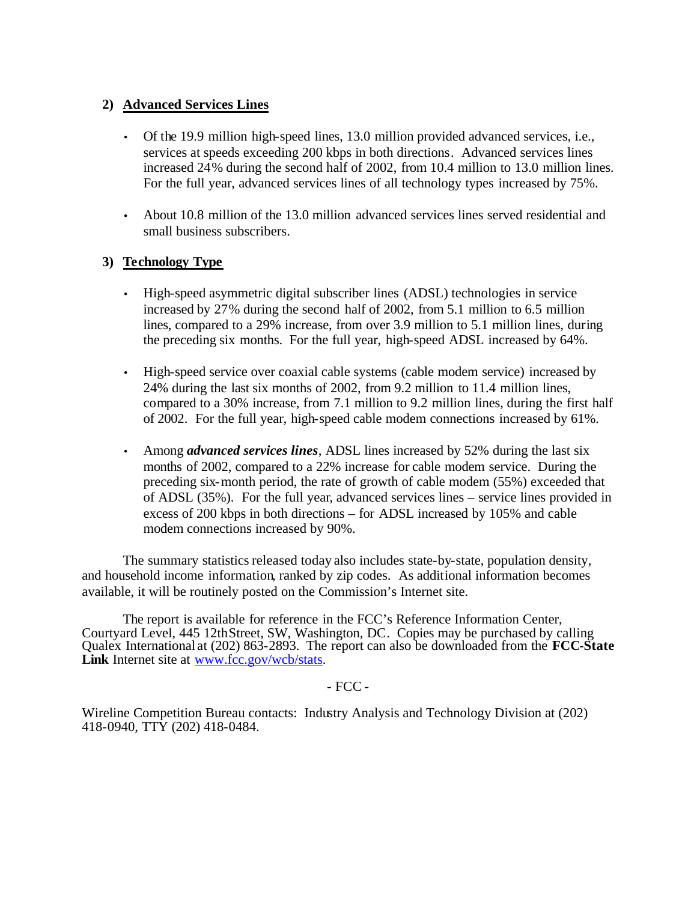## **2) Advanced Services Lines**

- Of the 19.9 million high-speed lines, 13.0 million provided advanced services, i.e., services at speeds exceeding 200 kbps in both directions. Advanced services lines increased 24% during the second half of 2002, from 10.4 million to 13.0 million lines. For the full year, advanced services lines of all technology types increased by 75%.
- About 10.8 million of the 13.0 million advanced services lines served residential and small business subscribers.

## **3) Technology Type**

- High-speed asymmetric digital subscriber lines (ADSL) technologies in service increased by 27% during the second half of 2002, from 5.1 million to 6.5 million lines, compared to a 29% increase, from over 3.9 million to 5.1 million lines, during the preceding six months. For the full year, high-speed ADSL increased by 64%.
- High-speed service over coaxial cable systems (cable modem service) increased by 24% during the last six months of 2002, from 9.2 million to 11.4 million lines, compared to a 30% increase, from 7.1 million to 9.2 million lines, during the first half of 2002. For the full year, high-speed cable modem connections increased by 61%.
- Among *advanced services lines*, ADSL lines increased by 52% during the last six months of 2002, compared to a 22% increase for cable modem service. During the preceding six-month period, the rate of growth of cable modem (55%) exceeded that of ADSL (35%). For the full year, advanced services lines – service lines provided in excess of 200 kbps in both directions – for ADSL increased by 105% and cable modem connections increased by 90%.

The summary statistics released today also includes state-by-state, population density, and household income information, ranked by zip codes. As additional information becomes available, it will be routinely posted on the Commission's Internet site.

The report is available for reference in the FCC's Reference Information Center, Courtyard Level, 445 12thStreet, SW, Washington, DC. Copies may be purchased by calling Qualex International at (202) 863-2893. The report can also be downloaded from the **FCC-State**  Link Internet site at www.fcc.gov/wcb/stats.

#### - FCC -

Wireline Competition Bureau contacts: Industry Analysis and Technology Division at (202) 418-0940, TTY (202) 418-0484.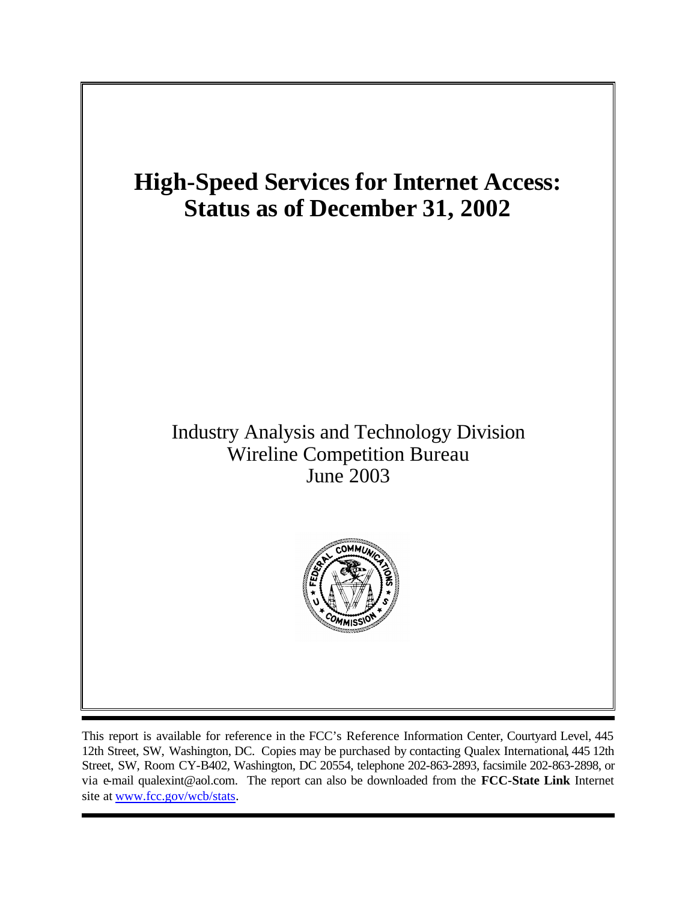

This report is available for reference in the FCC's Reference Information Center, Courtyard Level, 445 12th Street, SW, Washington, DC. Copies may be purchased by contacting Qualex International, 445 12th Street, SW, Room CY-B402, Washington, DC 20554, telephone 202-863-2893, facsimile 202-863-2898, or via e-mail qualexint@aol.com. The report can also be downloaded from the **FCC-State Link** Internet site at www.fcc.gov/wcb/stats.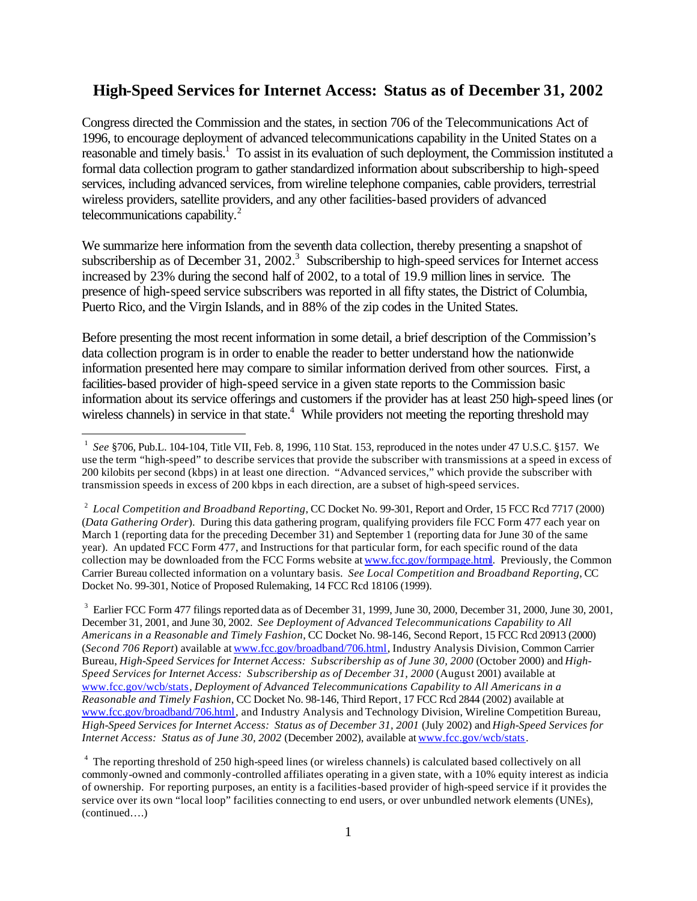## **High-Speed Services for Internet Access: Status as of December 31, 2002**

Congress directed the Commission and the states, in section 706 of the Telecommunications Act of 1996, to encourage deployment of advanced telecommunications capability in the United States on a reasonable and timely basis.<sup>1</sup> To assist in its evaluation of such deployment, the Commission instituted a formal data collection program to gather standardized information about subscribership to high-speed services, including advanced services, from wireline telephone companies, cable providers, terrestrial wireless providers, satellite providers, and any other facilities-based providers of advanced telecommunications capability. $^{2}$ 

We summarize here information from the seventh data collection, thereby presenting a snapshot of subscribership as of December 31, 2002.<sup>3</sup> Subscribership to high-speed services for Internet access increased by 23% during the second half of 2002, to a total of 19.9 million lines in service. The presence of high-speed service subscribers was reported in all fifty states, the District of Columbia, Puerto Rico, and the Virgin Islands, and in 88% of the zip codes in the United States.

Before presenting the most recent information in some detail, a brief description of the Commission's data collection program is in order to enable the reader to better understand how the nationwide information presented here may compare to similar information derived from other sources. First, a facilities-based provider of high-speed service in a given state reports to the Commission basic information about its service offerings and customers if the provider has at least 250 high-speed lines (or wireless channels) in service in that state.<sup>4</sup> While providers not meeting the reporting threshold may

l

 $3$  Earlier FCC Form 477 filings reported data as of December 31, 1999, June 30, 2000, December 31, 2000, June 30, 2001, December 31, 2001, and June 30, 2002. *See Deployment of Advanced Telecommunications Capability to All Americans in a Reasonable and Timely Fashion*, CC Docket No. 98-146, Second Report, 15 FCC Rcd 20913 (2000) (*Second 706 Report*) available at www.fcc.gov/broadband/706.html, Industry Analysis Division, Common Carrier Bureau, *High-Speed Services for Internet Access: Subscribership as of June 30, 2000* (October 2000) and *High-Speed Services for Internet Access: Subscribership as of December 31, 2000* (August 2001) available at www.fcc.gov/wcb/stats, *Deployment of Advanced Telecommunications Capability to All Americans in a Reasonable and Timely Fashion*, CC Docket No. 98-146, Third Report, 17 FCC Rcd 2844 (2002) available at www.fcc.gov/broadband/706.html, and Industry Analysis and Technology Division, Wireline Competition Bureau, *High-Speed Services for Internet Access: Status as of December 31, 2001* (July 2002) and *High-Speed Services for Internet Access: Status as of June 30, 2002* (December 2002), available at www.fcc.gov/wcb/stats.

<sup>4</sup> The reporting threshold of 250 high-speed lines (or wireless channels) is calculated based collectively on all commonly-owned and commonly-controlled affiliates operating in a given state, with a 10% equity interest as indicia of ownership. For reporting purposes, an entity is a facilities-based provider of high-speed service if it provides the service over its own "local loop" facilities connecting to end users, or over unbundled network elements (UNEs), (continued….)

<sup>&</sup>lt;sup>1</sup> See §706, Pub.L. 104-104, Title VII, Feb. 8, 1996, 110 Stat. 153, reproduced in the notes under 47 U.S.C. §157. We use the term "high-speed" to describe services that provide the subscriber with transmissions at a speed in excess of 200 kilobits per second (kbps) in at least one direction. "Advanced services," which provide the subscriber with transmission speeds in excess of 200 kbps in each direction, are a subset of high-speed services.

<sup>&</sup>lt;sup>2</sup> Local Competition and Broadband Reporting, CC Docket No. 99-301, Report and Order, 15 FCC Rcd 7717 (2000) (*Data Gathering Order*). During this data gathering program, qualifying providers file FCC Form 477 each year on March 1 (reporting data for the preceding December 31) and September 1 (reporting data for June 30 of the same year). An updated FCC Form 477, and Instructions for that particular form, for each specific round of the data collection may be downloaded from the FCC Forms website at www.fcc.gov/formpage.html. Previously, the Common Carrier Bureau collected information on a voluntary basis. *See Local Competition and Broadband Reporting*, CC Docket No. 99-301, Notice of Proposed Rulemaking, 14 FCC Rcd 18106 (1999).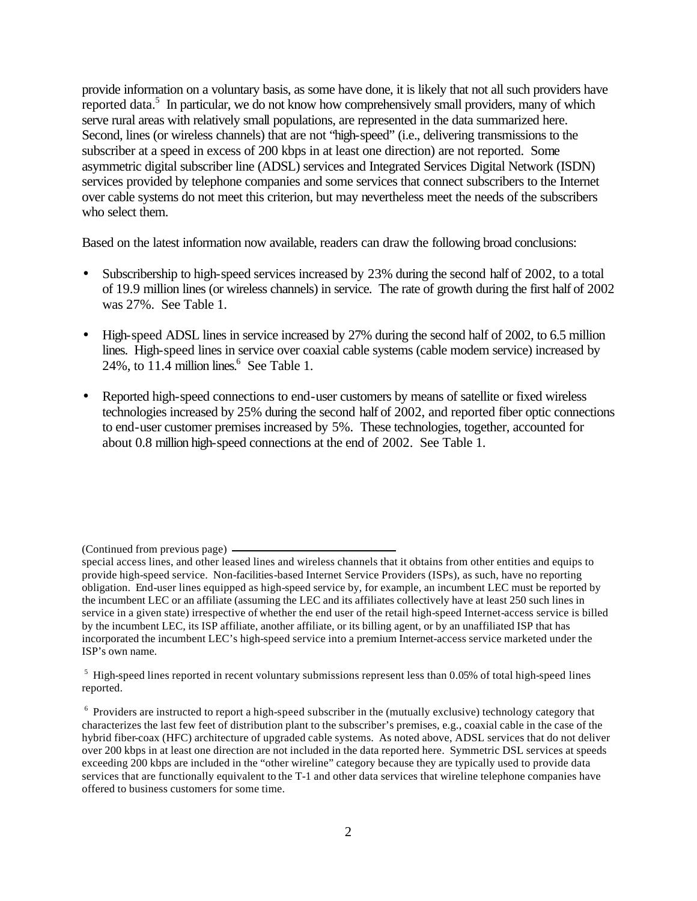provide information on a voluntary basis, as some have done, it is likely that not all such providers have reported data.<sup>5</sup> In particular, we do not know how comprehensively small providers, many of which serve rural areas with relatively small populations, are represented in the data summarized here. Second, lines (or wireless channels) that are not "high-speed" (i.e., delivering transmissions to the subscriber at a speed in excess of 200 kbps in at least one direction) are not reported. Some asymmetric digital subscriber line (ADSL) services and Integrated Services Digital Network (ISDN) services provided by telephone companies and some services that connect subscribers to the Internet over cable systems do not meet this criterion, but may nevertheless meet the needs of the subscribers who select them.

Based on the latest information now available, readers can draw the following broad conclusions:

- Subscribership to high-speed services increased by 23% during the second half of 2002, to a total of 19.9 million lines (or wireless channels) in service. The rate of growth during the first half of 2002 was 27%. See Table 1.
- High-speed ADSL lines in service increased by 27% during the second half of 2002, to 6.5 million lines. High-speed lines in service over coaxial cable systems (cable modem service) increased by  $24\%$ , to  $11.4$  million lines.<sup>6</sup> See Table 1.
- Reported high-speed connections to end-user customers by means of satellite or fixed wireless technologies increased by 25% during the second half of 2002, and reported fiber optic connections to end-user customer premises increased by 5%. These technologies, together, accounted for about 0.8 million high-speed connections at the end of 2002. See Table 1.

<sup>(</sup>Continued from previous page)

special access lines, and other leased lines and wireless channels that it obtains from other entities and equips to provide high-speed service. Non-facilities-based Internet Service Providers (ISPs), as such, have no reporting obligation. End-user lines equipped as high-speed service by, for example, an incumbent LEC must be reported by the incumbent LEC or an affiliate (assuming the LEC and its affiliates collectively have at least 250 such lines in service in a given state) irrespective of whether the end user of the retail high-speed Internet-access service is billed by the incumbent LEC, its ISP affiliate, another affiliate, or its billing agent, or by an unaffiliated ISP that has incorporated the incumbent LEC's high-speed service into a premium Internet-access service marketed under the ISP's own name.

 $<sup>5</sup>$  High-speed lines reported in recent voluntary submissions represent less than 0.05% of total high-speed lines</sup> reported.

<sup>&</sup>lt;sup>6</sup> Providers are instructed to report a high-speed subscriber in the (mutually exclusive) technology category that characterizes the last few feet of distribution plant to the subscriber's premises, e.g., coaxial cable in the case of the hybrid fiber-coax (HFC) architecture of upgraded cable systems. As noted above, ADSL services that do not deliver over 200 kbps in at least one direction are not included in the data reported here. Symmetric DSL services at speeds exceeding 200 kbps are included in the "other wireline" category because they are typically used to provide data services that are functionally equivalent to the T-1 and other data services that wireline telephone companies have offered to business customers for some time.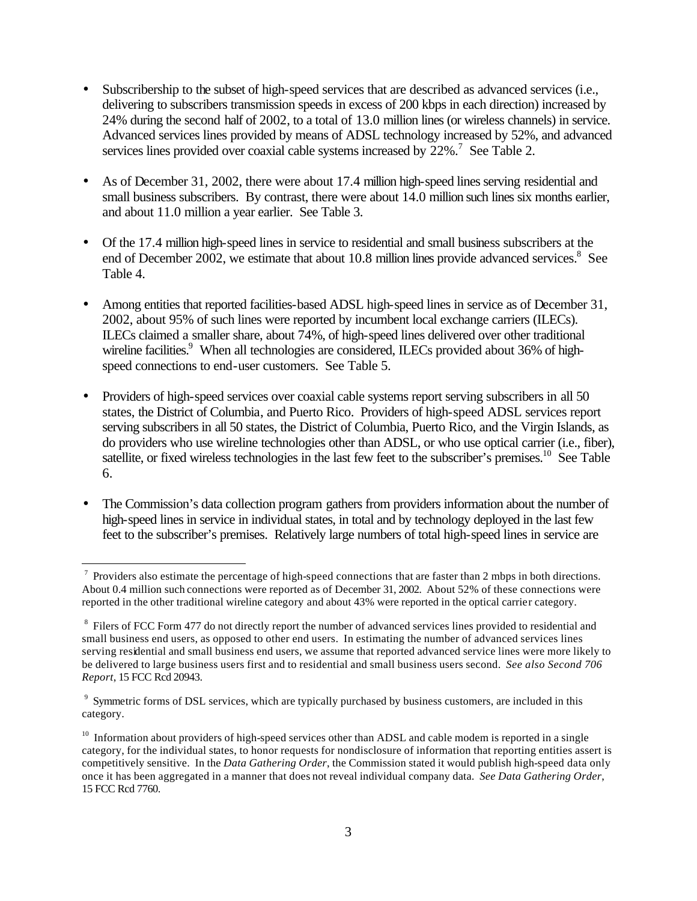- Subscribership to the subset of high-speed services that are described as advanced services (i.e., delivering to subscribers transmission speeds in excess of 200 kbps in each direction) increased by 24% during the second half of 2002, to a total of 13.0 million lines (or wireless channels) in service. Advanced services lines provided by means of ADSL technology increased by 52%, and advanced services lines provided over coaxial cable systems increased by 22%.<sup>7</sup> See Table 2.
- As of December 31, 2002, there were about 17.4 million high-speed lines serving residential and small business subscribers. By contrast, there were about 14.0 million such lines six months earlier, and about 11.0 million a year earlier. See Table 3.
- Of the 17.4 million high-speed lines in service to residential and small business subscribers at the end of December 2002, we estimate that about 10.8 million lines provide advanced services. $8$  See Table 4.
- Among entities that reported facilities-based ADSL high-speed lines in service as of December 31, 2002, about 95% of such lines were reported by incumbent local exchange carriers (ILECs). ILECs claimed a smaller share, about 74%, of high-speed lines delivered over other traditional wireline facilities.<sup>9</sup> When all technologies are considered, ILECs provided about 36% of highspeed connections to end-user customers. See Table 5.
- Providers of high-speed services over coaxial cable systems report serving subscribers in all 50 states, the District of Columbia, and Puerto Rico. Providers of high-speed ADSL services report serving subscribers in all 50 states, the District of Columbia, Puerto Rico, and the Virgin Islands, as do providers who use wireline technologies other than ADSL, or who use optical carrier (i.e., fiber), satellite, or fixed wireless technologies in the last few feet to the subscriber's premises.<sup>10</sup> See Table 6.
- The Commission's data collection program gathers from providers information about the number of high-speed lines in service in individual states, in total and by technology deployed in the last few feet to the subscriber's premises. Relatively large numbers of total high-speed lines in service are

l

 $^7$  Providers also estimate the percentage of high-speed connections that are faster than 2 mbps in both directions. About 0.4 million such connections were reported as of December 31, 2002. About 52% of these connections were reported in the other traditional wireline category and about 43% were reported in the optical carrier category.

<sup>&</sup>lt;sup>8</sup> Filers of FCC Form 477 do not directly report the number of advanced services lines provided to residential and small business end users, as opposed to other end users. In estimating the number of advanced services lines serving residential and small business end users, we assume that reported advanced service lines were more likely to be delivered to large business users first and to residential and small business users second. *See also Second 706 Report*, 15 FCC Rcd 20943.

<sup>&</sup>lt;sup>9</sup> Symmetric forms of DSL services, which are typically purchased by business customers, are included in this category.

<sup>&</sup>lt;sup>10</sup> Information about providers of high-speed services other than ADSL and cable modem is reported in a single category, for the individual states, to honor requests for nondisclosure of information that reporting entities assert is competitively sensitive. In the *Data Gathering Order*, the Commission stated it would publish high-speed data only once it has been aggregated in a manner that does not reveal individual company data. *See Data Gathering Order*, 15 FCC Rcd 7760.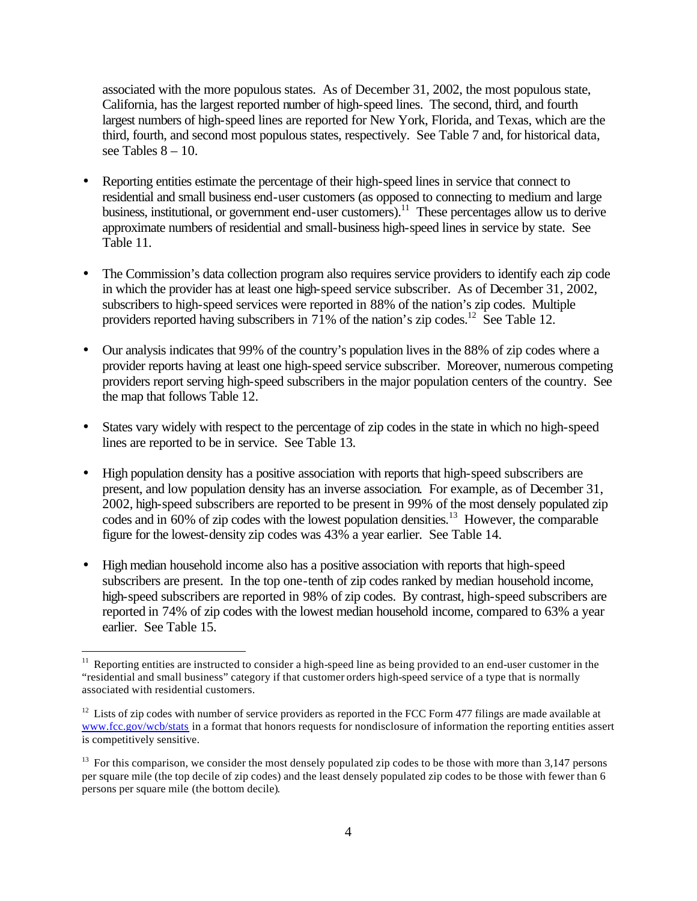associated with the more populous states. As of December 31, 2002, the most populous state, California, has the largest reported number of high-speed lines. The second, third, and fourth largest numbers of high-speed lines are reported for New York, Florida, and Texas, which are the third, fourth, and second most populous states, respectively. See Table 7 and, for historical data, see Tables  $8 - 10$ .

- Reporting entities estimate the percentage of their high-speed lines in service that connect to residential and small business end-user customers (as opposed to connecting to medium and large business, institutional, or government end-user customers).<sup>11</sup> These percentages allow us to derive approximate numbers of residential and small-business high-speed lines in service by state. See Table 11.
- The Commission's data collection program also requires service providers to identify each zip code in which the provider has at least one high-speed service subscriber. As of December 31, 2002, subscribers to high-speed services were reported in 88% of the nation's zip codes. Multiple providers reported having subscribers in  $71\%$  of the nation's zip codes.<sup>12</sup> See Table 12.
- Our analysis indicates that 99% of the country's population lives in the 88% of zip codes where a provider reports having at least one high-speed service subscriber. Moreover, numerous competing providers report serving high-speed subscribers in the major population centers of the country. See the map that follows Table 12.
- States vary widely with respect to the percentage of zip codes in the state in which no high-speed lines are reported to be in service. See Table 13.
- High population density has a positive association with reports that high-speed subscribers are present, and low population density has an inverse association. For example, as of December 31, 2002, high-speed subscribers are reported to be present in 99% of the most densely populated zip codes and in 60% of zip codes with the lowest population densities. <sup>13</sup> However, the comparable figure for the lowest-density zip codes was 43% a year earlier. See Table 14.
- High median household income also has a positive association with reports that high-speed subscribers are present. In the top one-tenth of zip codes ranked by median household income, high-speed subscribers are reported in 98% of zip codes. By contrast, high-speed subscribers are reported in 74% of zip codes with the lowest median household income, compared to 63% a year earlier. See Table 15.

<sup>&</sup>lt;sup>11</sup> Reporting entities are instructed to consider a high-speed line as being provided to an end-user customer in the "residential and small business" category if that customer orders high-speed service of a type that is normally associated with residential customers.

 $12$  Lists of zip codes with number of service providers as reported in the FCC Form 477 filings are made available at www.fcc.gov/wcb/stats in a format that honors requests for nondisclosure of information the reporting entities assert is competitively sensitive.

 $13$  For this comparison, we consider the most densely populated zip codes to be those with more than 3,147 persons per square mile (the top decile of zip codes) and the least densely populated zip codes to be those with fewer than 6 persons per square mile (the bottom decile).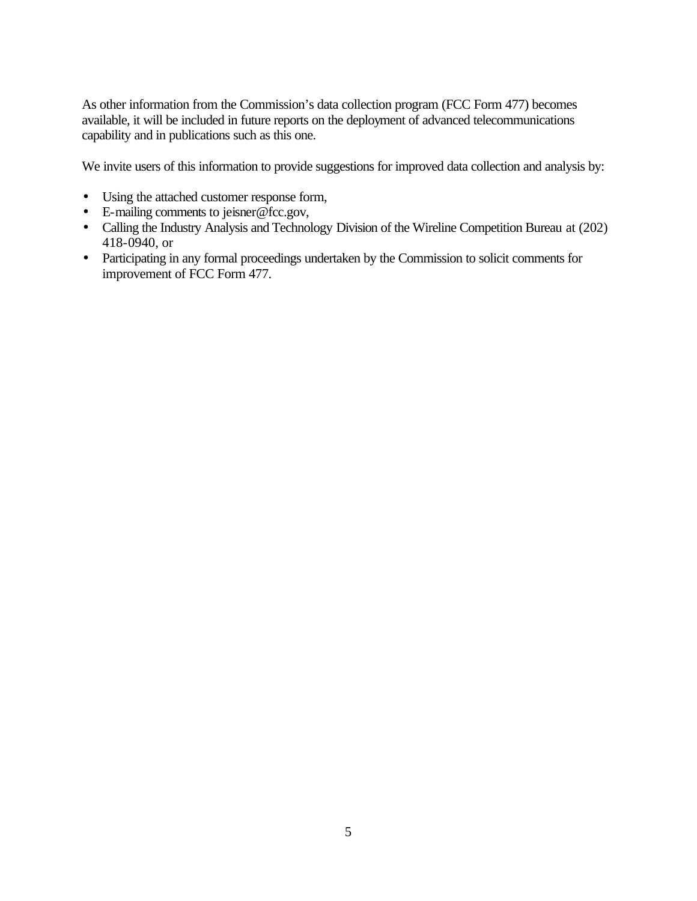As other information from the Commission's data collection program (FCC Form 477) becomes available, it will be included in future reports on the deployment of advanced telecommunications capability and in publications such as this one.

We invite users of this information to provide suggestions for improved data collection and analysis by:

- Using the attached customer response form,
- E-mailing comments to jeisner@fcc.gov,
- Calling the Industry Analysis and Technology Division of the Wireline Competition Bureau at (202) 418-0940, or
- Participating in any formal proceedings undertaken by the Commission to solicit comments for improvement of FCC Form 477.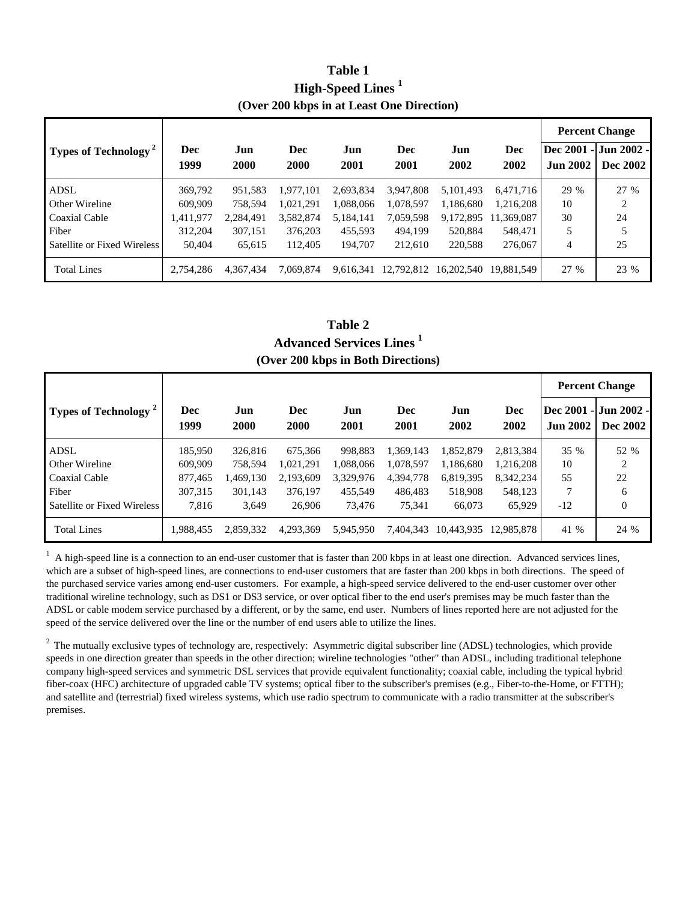| Table 1                                   |  |
|-------------------------------------------|--|
| High-Speed Lines <sup>1</sup>             |  |
| (Over 200 kbps in at Least One Direction) |  |

|                                        |            |           |            |           |            |            |            |                 | <b>Percent Change</b> |
|----------------------------------------|------------|-----------|------------|-----------|------------|------------|------------|-----------------|-----------------------|
| <b>Types of Technology<sup>2</sup></b> | <b>Dec</b> | Jun       | <b>Dec</b> | Jun       | Dec        | Jun        | <b>Dec</b> |                 | Dec 2001 - Jun 2002 - |
|                                        | 1999       | 2000      | 2000       | 2001      | 2001       | 2002       | 2002       | <b>Jun 2002</b> | <b>Dec 2002</b>       |
| <b>ADSL</b>                            | 369,792    | 951.583   | 1.977.101  | 2,693,834 | 3.947.808  | 5.101.493  | 6.471.716  | 29 %            | 27 %                  |
| Other Wireline                         | 609,909    | 758.594   | 1,021,291  | 1,088,066 | 1,078,597  | 1,186,680  | 1,216,208  | 10              | 2                     |
| Coaxial Cable                          | 1,411,977  | 2,284,491 | 3,582,874  | 5,184,141 | 7,059,598  | 9,172,895  | 11,369,087 | 30              | 24                    |
| Fiber                                  | 312,204    | 307,151   | 376,203    | 455,593   | 494.199    | 520,884    | 548,471    | 5               |                       |
| Satellite or Fixed Wireless            | 50,404     | 65.615    | 112.405    | 194,707   | 212.610    | 220,588    | 276,067    | 4               | 25                    |
| <b>Total Lines</b>                     | 2,754,286  | 4.367.434 | 7.069.874  | 9.616.341 | 12.792.812 | 16.202.540 | 19.881.549 | 27 %            | 23 %                  |

**(Over 200 kbps in Both Directions) Advanced Services Lines <sup>1</sup> Table 2**

|                                        |             |             |                    |             |             |             |             | <b>Percent Change</b> |                                   |
|----------------------------------------|-------------|-------------|--------------------|-------------|-------------|-------------|-------------|-----------------------|-----------------------------------|
| <b>Types of Technology<sup>2</sup></b> | Dec<br>1999 | Jun<br>2000 | <b>Dec</b><br>2000 | Jun<br>2001 | Dec<br>2001 | Jun<br>2002 | Dec<br>2002 | <b>Jun 2002</b>       | Dec 2001 - Jun 2002 -<br>Dec 2002 |
| <b>ADSL</b>                            | 185.950     | 326,816     | 675,366            | 998.883     | 1,369,143   | 1,852,879   | 2,813,384   | 35 %                  | 52 %                              |
| Other Wireline                         | 609.909     | 758.594     | 1,021,291          | 1,088,066   | 1.078.597   | 1,186,680   | 1.216.208   | 10                    | 2                                 |
| Coaxial Cable                          | 877.465     | 1.469.130   | 2.193.609          | 3.329.976   | 4,394,778   | 6,819,395   | 8,342,234   | 55                    | 22                                |
| Fiber                                  | 307,315     | 301.143     | 376.197            | 455.549     | 486,483     | 518,908     | 548,123     | 7                     | 6                                 |
| Satellite or Fixed Wireless            | 7.816       | 3.649       | 26,906             | 73.476      | 75.341      | 66,073      | 65,929      | $-12$                 | $\theta$                          |
| <b>Total Lines</b>                     | 1,988,455   | 2,859,332   | 4,293,369          | 5.945.950   | 7.404.343   | 10.443.935  | 12.985.878  | 41 %                  | 24 %                              |

 $<sup>1</sup>$  A high-speed line is a connection to an end-user customer that is faster than 200 kbps in at least one direction. Advanced services lines,</sup> which are a subset of high-speed lines, are connections to end-user customers that are faster than 200 kbps in both directions. The speed of the purchased service varies among end-user customers. For example, a high-speed service delivered to the end-user customer over other traditional wireline technology, such as DS1 or DS3 service, or over optical fiber to the end user's premises may be much faster than the ADSL or cable modem service purchased by a different, or by the same, end user. Numbers of lines reported here are not adjusted for the speed of the service delivered over the line or the number of end users able to utilize the lines.

 $2$  The mutually exclusive types of technology are, respectively: Asymmetric digital subscriber line (ADSL) technologies, which provide speeds in one direction greater than speeds in the other direction; wireline technologies "other" than ADSL, including traditional telephone company high-speed services and symmetric DSL services that provide equivalent functionality; coaxial cable, including the typical hybrid fiber-coax (HFC) architecture of upgraded cable TV systems; optical fiber to the subscriber's premises (e.g., Fiber-to-the-Home, or FTTH); and satellite and (terrestrial) fixed wireless systems, which use radio spectrum to communicate with a radio transmitter at the subscriber's premises.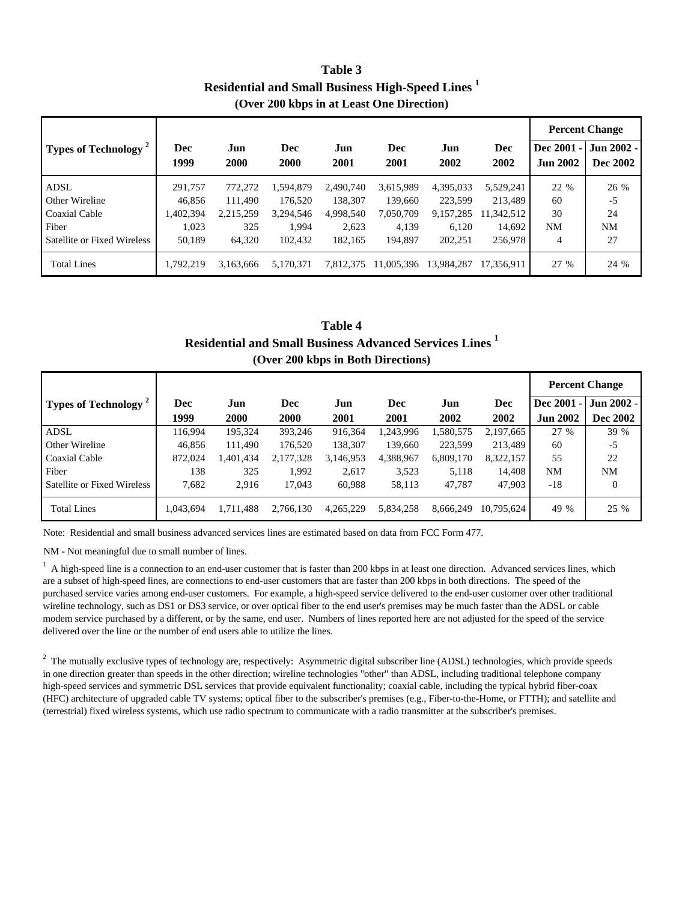**Residential and Small Business High-Speed Lines <sup>1</sup> Table 3 (Over 200 kbps in at Least One Direction)**

|                                         |           |           |           |           |            |            |            |                                   | <b>Percent Change</b> |
|-----------------------------------------|-----------|-----------|-----------|-----------|------------|------------|------------|-----------------------------------|-----------------------|
| <b>Types of Technology</b> <sup>2</sup> | Dec       | Jun       | Dec       | Jun       | <b>Dec</b> | Jun        | <b>Dec</b> | <b>Dec 2001</b><br>$\blacksquare$ | Jun 2002 -            |
|                                         | 1999      | 2000      | 2000      | 2001      | 2001       | 2002       | 2002       | <b>Jun 2002</b>                   | Dec 2002              |
| <b>ADSL</b>                             | 291,757   | 772,272   | 1,594,879 | 2.490.740 | 3,615,989  | 4,395,033  | 5,529,241  | 22 %                              | 26 %                  |
| Other Wireline                          | 46.856    | 111.490   | 176.520   | 138.307   | 139,660    | 223.599    | 213,489    | 60                                | $-5$                  |
| Coaxial Cable                           | 1,402,394 | 2,215,259 | 3,294,546 | 4,998,540 | 7,050,709  | 9,157,285  | 1,342,512  | 30                                | 24                    |
| Fiber                                   | 1.023     | 325       | 1.994     | 2,623     | 4.139      | 6.120      | 14.692     | NM                                | <b>NM</b>             |
| Satellite or Fixed Wireless             | 50,189    | 64,320    | 102.432   | 182.165   | 194.897    | 202.251    | 256,978    | 4                                 | 27                    |
| <b>Total Lines</b>                      | 1,792,219 | 3.163.666 | 5,170,371 | 7,812,375 | 11,005,396 | 13,984,287 | 17,356,911 | 27 %                              | 24 %                  |

### **Table 4 Residential and Small Business Advanced Services Lines <sup>1</sup> (Over 200 kbps in Both Directions)**

|                                  |           |           |           |           |            |           |            |                 | <b>Percent Change</b> |
|----------------------------------|-----------|-----------|-----------|-----------|------------|-----------|------------|-----------------|-----------------------|
| Types of Technology <sup>2</sup> | Dec       | Jun       | Dec       | Jun       | <b>Dec</b> | Jun       | Dec        | Dec 2001 -      | Jun 2002 -            |
|                                  | 1999      | 2000      | 2000      | 2001      | 2001       | 2002      | 2002       | <b>Jun 2002</b> | <b>Dec 2002</b>       |
| ADSL                             | 116,994   | 195,324   | 393,246   | 916,364   | 1,243,996  | 1,580,575 | 2,197,665  | 27 %            | 39 %                  |
| Other Wireline                   | 46,856    | 111,490   | 176,520   | 138,307   | 139,660    | 223.599   | 213,489    | 60              | $-5$                  |
| Coaxial Cable                    | 872,024   | .401,434  | 2,177,328 | 3,146,953 | 4,388,967  | 6,809,170 | 8,322,157  | 55              | 22                    |
| Fiber                            | 138       | 325       | 1,992     | 2,617     | 3,523      | 5,118     | 14,408     | NM              | <b>NM</b>             |
| Satellite or Fixed Wireless      | 7,682     | 2,916     | 17,043    | 60,988    | 58,113     | 47,787    | 47,903     | $-18$           | $\overline{0}$        |
| <b>Total Lines</b>               | 1,043,694 | 1,711,488 | 2,766,130 | 4,265,229 | 5,834,258  | 8,666,249 | 10.795.624 | 49 %            | 25 %                  |

Note: Residential and small business advanced services lines are estimated based on data from FCC Form 477.

NM - Not meaningful due to small number of lines.

<sup>1</sup> A high-speed line is a connection to an end-user customer that is faster than 200 kbps in at least one direction. Advanced services lines, which are a subset of high-speed lines, are connections to end-user customers that are faster than 200 kbps in both directions. The speed of the purchased service varies among end-user customers. For example, a high-speed service delivered to the end-user customer over other traditional wireline technology, such as DS1 or DS3 service, or over optical fiber to the end user's premises may be much faster than the ADSL or cable modem service purchased by a different, or by the same, end user. Numbers of lines reported here are not adjusted for the speed of the service delivered over the line or the number of end users able to utilize the lines.

 $2$  The mutually exclusive types of technology are, respectively: Asymmetric digital subscriber line (ADSL) technologies, which provide speeds in one direction greater than speeds in the other direction; wireline technologies "other" than ADSL, including traditional telephone company high-speed services and symmetric DSL services that provide equivalent functionality; coaxial cable, including the typical hybrid fiber-coax (HFC) architecture of upgraded cable TV systems; optical fiber to the subscriber's premises (e.g., Fiber-to-the-Home, or FTTH); and satellite and (terrestrial) fixed wireless systems, which use radio spectrum to communicate with a radio transmitter at the subscriber's premises.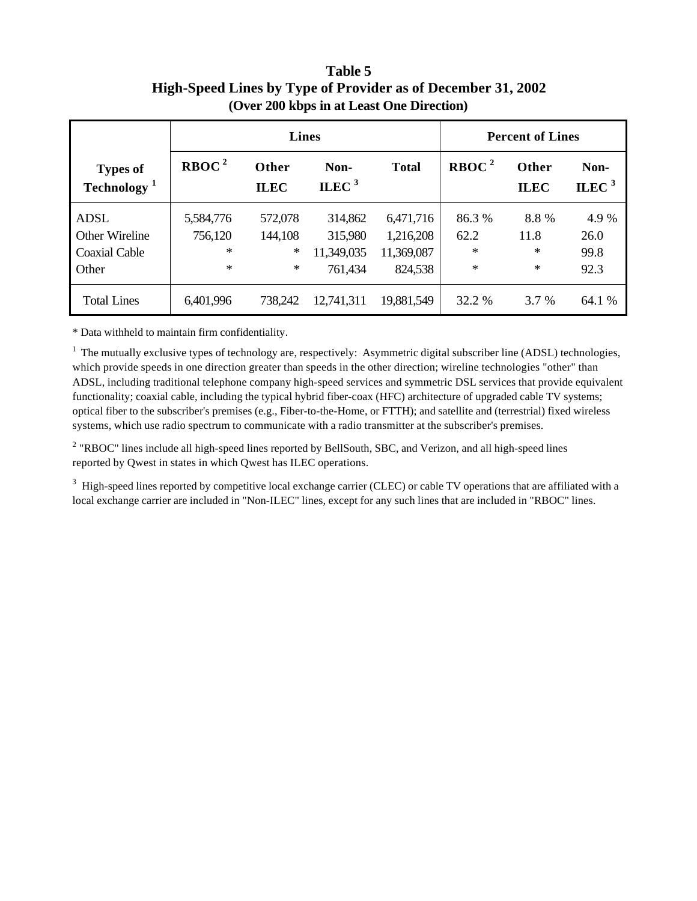## **High-Speed Lines by Type of Provider as of December 31, 2002 Table 5 (Over 200 kbps in at Least One Direction)**

|                                            |                   | <b>Lines</b>         |                   |              | <b>Percent of Lines</b> |                      |                  |  |
|--------------------------------------------|-------------------|----------------------|-------------------|--------------|-------------------------|----------------------|------------------|--|
| <b>Types of</b><br>Technology <sup>1</sup> | RBOC <sup>2</sup> | Other<br><b>ILEC</b> | Non-<br>ILEC $^3$ | <b>Total</b> | RBOC <sup>2</sup>       | Other<br><b>ILEC</b> | Non-<br>ILEC $3$ |  |
| ADSL                                       | 5,584,776         | 572,078              | 314,862           | 6,471,716    | 86.3 %                  | 8.8%                 | 4.9 %            |  |
| Other Wireline                             | 756,120           | 144,108              | 315,980           | 1,216,208    | 62.2                    | 11.8                 | 26.0             |  |
| <b>Coaxial Cable</b>                       | ∗                 | ∗                    | 11,349,035        | 11,369,087   | $\ast$                  | ∗                    | 99.8             |  |
| Other                                      | ∗                 | $\ast$               | 761,434           | 824,538      | ∗                       | $\ast$               | 92.3             |  |
| <b>Total Lines</b>                         | 6,401,996         | 738,242              | 12,741,311        | 19,881,549   | 32.2 %                  | 3.7 %                | 64.1 %           |  |

\* Data withheld to maintain firm confidentiality.

 $1$ . The mutually exclusive types of technology are, respectively: Asymmetric digital subscriber line (ADSL) technologies, which provide speeds in one direction greater than speeds in the other direction; wireline technologies "other" than ADSL, including traditional telephone company high-speed services and symmetric DSL services that provide equivalent functionality; coaxial cable, including the typical hybrid fiber-coax (HFC) architecture of upgraded cable TV systems; optical fiber to the subscriber's premises (e.g., Fiber-to-the-Home, or FTTH); and satellite and (terrestrial) fixed wireless systems, which use radio spectrum to communicate with a radio transmitter at the subscriber's premises.

<sup>2</sup> "RBOC" lines include all high-speed lines reported by BellSouth, SBC, and Verizon, and all high-speed lines reported by Qwest in states in which Qwest has ILEC operations.

 $3$  High-speed lines reported by competitive local exchange carrier (CLEC) or cable TV operations that are affiliated with a local exchange carrier are included in "Non-ILEC" lines, except for any such lines that are included in "RBOC" lines.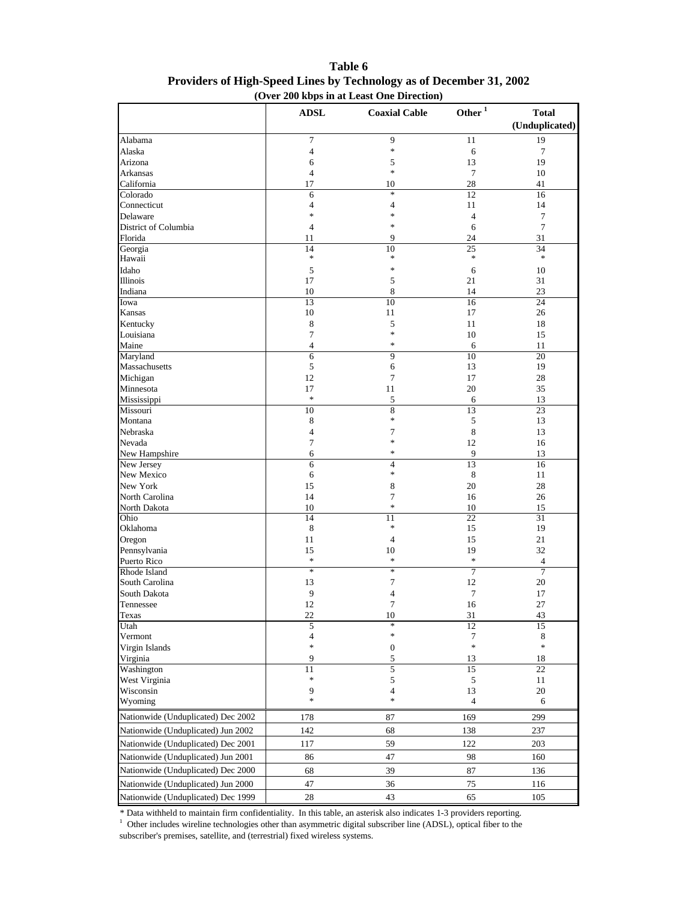|                                    | <b>ADSL</b>                             | <b>Coaxial Cable</b>  | Other $^{\rm 1}$          | <b>Total</b>    |
|------------------------------------|-----------------------------------------|-----------------------|---------------------------|-----------------|
|                                    |                                         |                       |                           | (Unduplicated)  |
| Alabama                            | 7                                       | 9                     | 11                        | 19              |
| Alaska                             | 4                                       | $\ast$                | 6                         | 7               |
| Arizona                            | 6                                       | 5                     | 13                        | 19              |
| Arkansas                           | $\overline{4}$                          | $\ast$                | $\tau$                    | 10              |
| California                         | 17                                      | 10                    | 28                        | 41              |
| Colorado                           | 6                                       | $\ast$                | 12                        | 16              |
| Connecticut                        | 4                                       | 4                     | 11                        | 14              |
| Delaware                           | $\frac{d\mathbf{r}}{d\mathbf{r}}$       | $\ast$                | $\overline{4}$            | 7               |
| District of Columbia               | $\overline{4}$                          | *                     | 6                         | $\tau$          |
| Florida                            | 11                                      | 9                     | 24                        | 31              |
| Georgia                            | 14<br>$\frac{d\mathbf{r}}{d\mathbf{r}}$ | 10<br>$\ast$          | $\overline{25}$<br>$\ast$ | 34              |
| Hawaii                             |                                         | $\ast$                |                           | $\ast$          |
| Idaho                              | 5                                       |                       | 6                         | 10              |
| Illinois                           | 17                                      | 5                     | 21                        | 31              |
| Indiana<br>Iowa                    | 10<br>13                                | 8<br>10               | 14<br>16                  | 23<br>24        |
| Kansas                             | 10                                      | 11                    | 17                        | 26              |
| Kentucky                           | 8                                       | 5                     | 11                        | 18              |
| Louisiana                          | 7                                       | *                     | 10                        | 15              |
| Maine                              | $\overline{4}$                          | *                     | 6                         | 11              |
| Maryland                           | 6                                       | 9                     | 10                        | 20              |
| Massachusetts                      | 5                                       | 6                     | 13                        | 19              |
| Michigan                           | 12                                      | 7                     | 17                        | 28              |
| Minnesota                          | 17                                      | 11                    | 20                        | 35              |
| Mississippi                        | $\ast$                                  | 5                     | 6                         | 13              |
| Missouri                           | 10                                      | 8                     | 13                        | 23              |
| Montana                            | 8                                       | $\ast$                | 5                         | 13              |
| Nebraska                           | $\overline{4}$                          | 7                     | 8                         | 13              |
| Nevada                             | 7                                       | $\ast$                | 12                        | 16              |
| New Hampshire                      | 6                                       | $\ast$                | 9                         | 13              |
| New Jersey                         | 6                                       | 4                     | 13                        | 16              |
| New Mexico                         | 6                                       | *                     | 8                         | 11              |
| New York                           | 15                                      | 8                     | 20                        | 28              |
| North Carolina                     | 14                                      | 7                     | 16                        | 26              |
| North Dakota                       | 10                                      | *                     | 10                        | 15              |
| Ohio                               | 14                                      | $\overline{11}$       | 22                        | $\overline{31}$ |
| Oklahoma                           | 8                                       | *                     | 15                        | 19              |
| Oregon                             | 11                                      | $\overline{4}$        | 15                        | 21              |
| Pennsylvania                       | 15                                      | 10                    | 19                        | 32              |
| Puerto Rico                        | $\ast$                                  | $\ast$                | $\ast$                    | 4               |
| Rhode Island                       | $\ast$                                  | $\ast$                | $\overline{7}$            | $\overline{7}$  |
| South Carolina                     | 13                                      | 7                     | 12                        | 20              |
| South Dakota                       | 9                                       | 4                     | 7                         | 17              |
| Tennessee                          | 12                                      | 7                     | 16                        | 27              |
| Texas                              | 22                                      | 10<br>$\ast$          | 31                        | 43              |
| Utah<br>Vermont                    | 5<br>4                                  | $\ast$                | 12<br>7                   | 15              |
|                                    | $\ast$                                  |                       | $\ast$                    | 8<br>$\ast$     |
| Virgin Islands<br>Virginia         | 9                                       | $\boldsymbol{0}$<br>5 | 13                        | 18              |
| Washington                         | 11                                      | 5                     | 15                        | 22              |
| West Virginia                      | $\ast$                                  | $\mathfrak s$         | 5                         | 11              |
| Wisconsin                          | 9                                       | $\overline{4}$        | 13                        | 20              |
| Wyoming                            | $\frac{1}{2}$                           | *                     | $\overline{4}$            | 6               |
| Nationwide (Unduplicated) Dec 2002 | 178                                     | 87                    | 169                       | 299             |
| Nationwide (Unduplicated) Jun 2002 | 142                                     | 68                    | 138                       | 237             |
| Nationwide (Unduplicated) Dec 2001 | 117                                     | 59                    | 122                       | 203             |
| Nationwide (Unduplicated) Jun 2001 | 86                                      | 47                    | 98                        | 160             |
| Nationwide (Unduplicated) Dec 2000 | 68                                      | 39                    | 87                        | 136             |
| Nationwide (Unduplicated) Jun 2000 |                                         |                       | 75                        | 116             |
|                                    | 47                                      | 36                    |                           |                 |
| Nationwide (Unduplicated) Dec 1999 | 28                                      | 43                    | 65                        | 105             |

#### **Table 6 Providers of High-Speed Lines by Technology as of December 31, 2002 (Over 200 kbps in at Least One Direction)**

\* Data withheld to maintain firm confidentiality. In this table, an asterisk also indicates 1-3 providers reporting.

<sup>1</sup> Other includes wireline technologies other than asymmetric digital subscriber line (ADSL), optical fiber to the subscriber's premises, satellite, and (terrestrial) fixed wireless systems.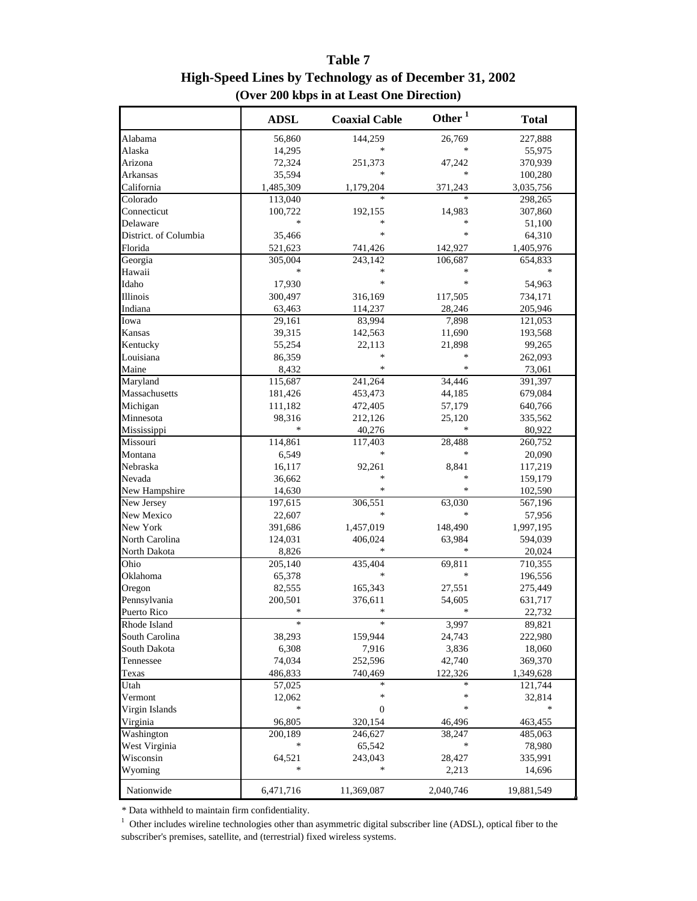## **Table 7 High-Speed Lines by Technology as of December 31, 2002 (Over 200 kbps in at Least One Direction)**

|                       | <b>ADSL</b> | <b>Coaxial Cable</b> | Other <sup>1</sup> | <b>Total</b> |
|-----------------------|-------------|----------------------|--------------------|--------------|
| Alabama               | 56,860      | 144,259              | 26,769             | 227,888      |
| Alaska                | 14,295      | *                    | *                  | 55,975       |
| Arizona               | 72,324      | 251,373              | 47,242             | 370,939      |
| Arkansas              | 35,594      | ∗                    | $\ast$             | 100,280      |
| California            | 1,485,309   | 1,179,204            | 371,243            | 3,035,756    |
| Colorado              | 113,040     | *                    | $\ast$             | 298,265      |
| Connecticut           | 100,722     | 192,155              | 14,983             | 307,860      |
| Delaware              | ∗           | *                    | ∗                  | 51,100       |
| District. of Columbia | 35,466      | ∗                    | $\ast$             | 64,310       |
| Florida               | 521,623     | 741,426              | 142,927            | 1,405,976    |
| Georgia               | 305,004     | 243,142              | 106,687            | 654,833      |
| Hawaii                | ∗           | $\ast$               | $\ast$             | *            |
| Idaho                 | 17,930      | *                    | *                  | 54,963       |
| Illinois              | 300,497     | 316,169              | 117,505            | 734,171      |
| Indiana               | 63,463      | 114,237              | 28,246             | 205,946      |
| Iowa                  | 29,161      | 83,994               | 7,898              | 121,053      |
| Kansas                | 39,315      | 142,563              | 11,690             | 193,568      |
| Kentucky              | 55,254      | 22,113               | 21,898             | 99,265       |
| Louisiana             | 86,359      | *                    | $\ast$             | 262,093      |
| Maine                 | 8,432       | *                    | $\ast$             | 73,061       |
| Maryland              | 115,687     | 241,264              | 34,446             | 391,397      |
| Massachusetts         | 181,426     | 453,473              | 44,185             | 679,084      |
| Michigan              | 111,182     | 472,405              | 57,179             | 640,766      |
| Minnesota             | 98,316      | 212,126              | 25,120             | 335,562      |
| Mississippi           | ∗           | 40,276               | *                  | 80,922       |
| Missouri              | 114,861     | 117,403              | 28,488             | 260,752      |
| Montana               | 6,549       | *                    | $\ast$             | 20,090       |
| Nebraska              | 16,117      | 92,261               | 8,841              | 117,219      |
| Nevada                | 36,662      | $\ast$               | $\ast$             | 159,179      |
| New Hampshire         | 14,630      | *                    | *                  | 102,590      |
| New Jersey            | 197,615     | 306,551              | 63,030             | 567,196      |
| New Mexico            | 22,607      | *                    | *                  | 57,956       |
| New York              | 391,686     | 1,457,019            | 148,490            | 1,997,195    |
| North Carolina        | 124,031     | 406,024              | 63,984             | 594,039      |
| North Dakota          | 8,826       | *                    | $\ast$             | 20,024       |
| Ohio                  | 205,140     | 435,404              | 69,811             | 710,355      |
| Oklahoma              | 65,378      | *                    | $\ast$             | 196,556      |
| Oregon                | 82,555      | 165,343              | 27,551             | 275,449      |
| Pennsylvania          | 200,501     | 376,611              | 54,605             | 631,717      |
| Puerto Rico           | $\ast$      | ∗                    | *                  | 22,732       |
| Rhode Island          | ∗           | ∗                    | 3,997              | 89,821       |
| South Carolina        | 38,293      | 159,944              | 24,743             | 222,980      |
| South Dakota          | 6,308       | 7,916                | 3,836              | 18,060       |
| Tennessee             | 74,034      | 252,596              | 42,740             | 369,370      |
| Texas                 | 486,833     | 740,469              | 122,326            | 1,349,628    |
| Utah                  | 57,025      | *                    | $\ast$             | 121,744      |
| Vermont               | 12,062      | ∗                    | ∗                  | 32,814       |
| Virgin Islands        | ∗           | 0                    | ∗                  | ∗            |
| Virginia              | 96,805      | 320,154              | 46,496             | 463,455      |
| Washington            | 200,189     | 246,627              | 38,247             | 485,063      |
| West Virginia         | ∗           | 65,542               | ∗                  | 78,980       |
| Wisconsin             | 64,521      | 243,043              | 28,427             | 335,991      |
| Wyoming               | ∗           | $\ast$               | 2,213              | 14,696       |
| Nationwide            | 6,471,716   | 11,369,087           | 2,040,746          | 19,881,549   |

\* Data withheld to maintain firm confidentiality.

 $1$  Other includes wireline technologies other than asymmetric digital subscriber line (ADSL), optical fiber to the subscriber's premises, satellite, and (terrestrial) fixed wireless systems.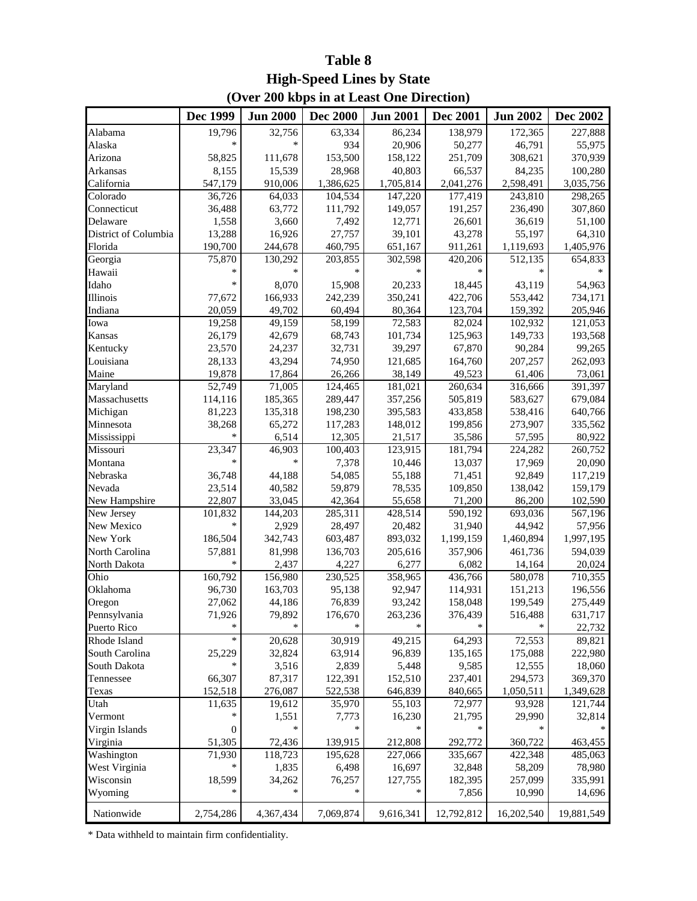## **(Over 200 kbps in at Least One Direction) Table 8 High-Speed Lines by State**

|                      | Dec 1999  | <b>Jun 2000</b> | <b>Dec 2000</b> | <b>Jun 2001</b> | <b>Dec 2001</b> | <b>Jun 2002</b> | Dec 2002   |
|----------------------|-----------|-----------------|-----------------|-----------------|-----------------|-----------------|------------|
| Alabama              | 19,796    | 32,756          | 63,334          | 86,234          | 138,979         | 172,365         | 227,888    |
| Alaska               | *         | *               | 934             | 20,906          | 50,277          | 46,791          | 55,975     |
| Arizona              | 58,825    | 111,678         | 153,500         | 158,122         | 251,709         | 308,621         | 370,939    |
| Arkansas             | 8,155     | 15,539          | 28,968          | 40,803          | 66,537          | 84,235          | 100,280    |
| California           | 547,179   | 910,006         | 1,386,625       | 1,705,814       | 2,041,276       | 2,598,491       | 3,035,756  |
| Colorado             | 36,726    | 64,033          | 104,534         | 147,220         | 177,419         | 243,810         | 298,265    |
| Connecticut          | 36,488    | 63,772          | 111,792         | 149,057         | 191,257         | 236,490         | 307,860    |
| Delaware             | 1,558     | 3,660           | 7,492           | 12,771          | 26,601          | 36,619          | 51,100     |
| District of Columbia | 13,288    | 16,926          | 27,757          | 39,101          | 43,278          | 55,197          | 64,310     |
| Florida              | 190,700   | 244,678         | 460,795         | 651,167         | 911,261         | 1,119,693       | 1,405,976  |
| Georgia              | 75,870    | 130,292         | 203,855         | 302,598         | 420,206         | 512,135         | 654,833    |
| Hawaii               | *         | $\ast$          | $\ast$          | $\ast$          | *               | $\ast$          |            |
| Idaho                |           | 8,070           | 15,908          | 20,233          | 18,445          | 43,119          | 54,963     |
| Illinois             | 77,672    | 166,933         | 242,239         | 350,241         | 422,706         | 553,442         | 734,171    |
| Indiana              | 20,059    | 49,702          | 60,494          | 80,364          | 123,704         | 159,392         | 205,946    |
| Iowa                 | 19,258    | 49,159          | 58,199          | 72,583          | 82,024          | 102,932         | 121,053    |
| Kansas               | 26,179    | 42,679          | 68,743          | 101,734         | 125,963         | 149,733         | 193,568    |
| Kentucky             | 23,570    | 24,237          | 32,731          | 39,297          | 67,870          | 90,284          | 99,265     |
| Louisiana            | 28,133    | 43,294          | 74,950          | 121,685         | 164,760         | 207,257         | 262,093    |
| Maine                | 19,878    | 17,864          | 26,266          | 38,149          | 49,523          | 61,406          | 73,061     |
| Maryland             | 52,749    | 71,005          | 124,465         | 181,021         | 260,634         | 316,666         | 391,397    |
| Massachusetts        | 114,116   | 185,365         | 289,447         | 357,256         | 505,819         | 583,627         | 679,084    |
| Michigan             | 81,223    | 135,318         | 198,230         | 395,583         | 433,858         | 538,416         | 640,766    |
| Minnesota            | 38,268    | 65,272          | 117,283         | 148,012         | 199,856         | 273,907         | 335,562    |
| Mississippi          | *         | 6,514           | 12,305          | 21,517          | 35,586          | 57,595          | 80,922     |
| Missouri             | 23,347    | 46,903          | 100,403         | 123,915         | 181,794         | 224,282         | 260,752    |
| Montana              | *         | $\ast$          | 7,378           | 10,446          | 13,037          | 17,969          | 20,090     |
| Nebraska             | 36,748    | 44,188          | 54,085          | 55,188          | 71,451          | 92,849          | 117,219    |
| Nevada               | 23,514    | 40,582          | 59,879          | 78,535          | 109,850         | 138,042         | 159,179    |
| New Hampshire        | 22,807    | 33,045          | 42,364          | 55,658          | 71,200          | 86,200          | 102,590    |
| New Jersey           | 101,832   | 144,203         | 285,311         | 428,514         | 590,192         | 693,036         | 567,196    |
| New Mexico           | $\ast$    | 2,929           | 28,497          | 20,482          | 31,940          | 44,942          | 57,956     |
| New York             | 186,504   | 342,743         | 603,487         | 893,032         | 1,199,159       | 1,460,894       | 1,997,195  |
| North Carolina       | 57,881    | 81,998          | 136,703         | 205,616         | 357,906         | 461,736         | 594,039    |
| North Dakota         | *         | 2,437           | 4,227           | 6,277           | 6,082           | 14,164          | 20,024     |
| Ohio                 | 160,792   | 156,980         | 230,525         | 358,965         | 436,766         | 580,078         | 710,355    |
| Oklahoma             | 96,730    | 163,703         | 95,138          | 92,947          | 114,931         | 151,213         | 196,556    |
| Oregon               | 27,062    | 44,186          | 76,839          | 93,242          | 158,048         | 199,549         | 275,449    |
| Pennsylvania         | 71,926    | 79,892          | 176,670         | 263,236         | 376,439         | 516,488         | 631,717    |
| Puerto Rico          | *         |                 |                 | $\ast$          |                 |                 | 22,732     |
| Rhode Island         | *         | 20,628          | 30,919          | 49,215          | 64,293          | 72,553          | 89,821     |
| South Carolina       | 25,229    | 32,824          | 63,914          | 96,839          | 135,165         | 175,088         | 222,980    |
| South Dakota         | *         | 3,516           | 2,839           | 5,448           | 9,585           | 12,555          | 18,060     |
| Tennessee            | 66,307    | 87,317          | 122,391         | 152,510         | 237,401         | 294,573         | 369,370    |
| Texas                | 152,518   | 276,087         | 522,538         | 646,839         | 840,665         | 1,050,511       | 1,349,628  |
| Utah                 | 11,635    | 19,612          | 35,970          | 55,103          | 72,977          | 93,928          | 121,744    |
| Vermont              |           | 1,551           | 7,773           | 16,230          | 21,795          | 29,990          | 32,814     |
| Virgin Islands       | 0         | *               | *               | $\ast$          | *               |                 |            |
| Virginia             | 51,305    | 72,436          | 139,915         | 212,808         | 292,772         | 360,722         | 463,455    |
| Washington           | 71,930    | 118,723         | 195,628         | 227,066         | 335,667         | 422,348         | 485,063    |
| West Virginia        | *         | 1,835           | 6,498           | 16,697          | 32,848          | 58,209          | 78,980     |
| Wisconsin            | 18,599    | 34,262          | 76,257          | 127,755         | 182,395         | 257,099         | 335,991    |
| Wyoming              | *         |                 |                 | *               | 7,856           | 10,990          | 14,696     |
| Nationwide           | 2,754,286 | 4,367,434       | 7,069,874       | 9,616,341       | 12,792,812      | 16,202,540      | 19,881,549 |

\* Data withheld to maintain firm confidentiality.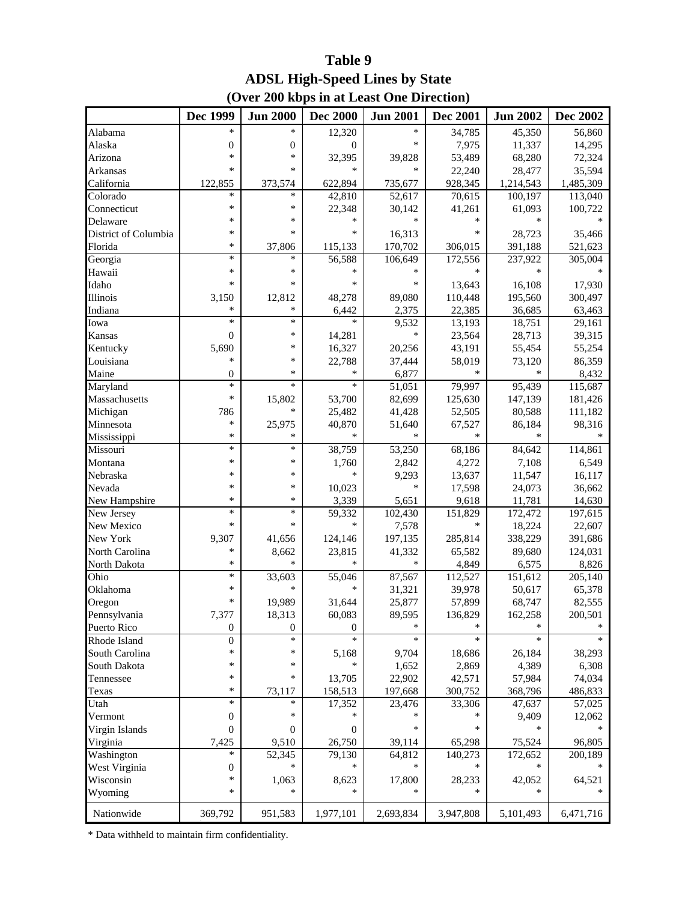## **ADSL High-Speed Lines by State (Over 200 kbps in at Least One Direction) Table 9**

|                      | Dec 1999         | <b>Jun 2000</b>  | <b>Dec 2000</b>  | <b>Jun 2001</b> | <b>Dec 2001</b> | <b>Jun 2002</b> | Dec 2002  |
|----------------------|------------------|------------------|------------------|-----------------|-----------------|-----------------|-----------|
| Alabama              | *                | $\ast$           | 12,320           | $\ast$          | 34,785          | 45,350          | 56,860    |
| Alaska               | $\boldsymbol{0}$ | $\mathbf{0}$     | $\mathbf{0}$     | *               | 7,975           | 11,337          | 14,295    |
| Arizona              | *                | *                | 32,395           | 39,828          | 53,489          | 68,280          | 72,324    |
| Arkansas             | *                | $\ast$           | $\ast$           | $\ast$          | 22,240          | 28,477          | 35,594    |
| California           | 122,855          | 373,574          | 622,894          | 735,677         | 928,345         | 1,214,543       | 1,485,309 |
| Colorado             | *                | $\ast$           | 42,810           | 52,617          | 70,615          | 100,197         | 113,040   |
| Connecticut          | *                | $\ast$           | 22,348           | 30,142          | 41,261          | 61,093          | 100,722   |
| Delaware             | *                | *                | *                | *               | *               | *               |           |
| District of Columbia | *                | *                | *                | 16,313          | *               | 28,723          | 35,466    |
| Florida              | *                | 37,806           | 115,133          | 170,702         | 306,015         | 391,188         | 521,623   |
| Georgia              | *                | *                | 56,588           | 106,649         | 172,556         | 237,922         | 305,004   |
| Hawaii               | *                | $\ast$           | $\ast$           | *               |                 | $\ast$          |           |
| Idaho                | *                | $\ast$           | ∗                | $\ast$          | 13,643          | 16,108          | 17,930    |
| Illinois             | 3,150            | 12,812           | 48,278           | 89,080          | 110,448         | 195,560         | 300,497   |
| Indiana              | *                | *                | 6,442            | 2,375           | 22,385          | 36,685          | 63,463    |
| Iowa                 | $\ast$           | $\ast$           | $\ast$           | 9,532           | 13,193          | 18,751          | 29,161    |
| Kansas               | $\boldsymbol{0}$ | *                | 14,281           | *               | 23,564          | 28,713          | 39,315    |
| Kentucky             | 5,690            | *                | 16,327           | 20,256          | 43,191          | 55,454          | 55,254    |
| Louisiana            | *                | $\ast$           | 22,788           | 37,444          | 58,019          | 73,120          | 86,359    |
| Maine                | $\boldsymbol{0}$ | $\ast$           | *                | 6,877           | *               | *               | 8,432     |
| Maryland             | $\ast$           | $\ast$           | $\ast$           | 51,051          | 79,997          | 95,439          | 115,687   |
| Massachusetts        | *                | 15,802           | 53,700           | 82,699          | 125,630         | 147,139         | 181,426   |
| Michigan             | 786              | $\ast$           | 25,482           | 41,428          | 52,505          | 80,588          | 111,182   |
| Minnesota            | *                | 25,975           | 40,870           | 51,640          | 67,527          | 86,184          | 98,316    |
| Mississippi          | *                | *                | $\ast$           | $\ast$          | $\ast$          | $\ast$          | *         |
| Missouri             | $\ast$           | $\ast$           | 38,759           | 53,250          | 68,186          | 84,642          | 114,861   |
| Montana              | *                | *                | 1,760            | 2,842           | 4,272           | 7,108           | 6,549     |
| Nebraska             | *                | $\ast$           | *                | 9,293           | 13,637          | 11,547          | 16,117    |
| Nevada               | *                | $\ast$           | 10,023           | $\ast$          | 17,598          | 24,073          | 36,662    |
| New Hampshire        | *                | *                | 3,339            | 5,651           | 9,618           | 11,781          | 14,630    |
| New Jersey           | $\ast$           | $\ast$           | 59,332           | 102,430         | 151,829         | 172,472         | 197,615   |
| New Mexico           | *                | *                | $\ast$           | 7,578           | *               | 18,224          | 22,607    |
| New York             | 9,307            | 41,656           | 124,146          | 197,135         | 285,814         | 338,229         | 391,686   |
| North Carolina       | *                | 8,662            | 23,815           | 41,332          | 65,582          | 89,680          | 124,031   |
| North Dakota         | *                | $\ast$           | $\ast$           | *               | 4,849           | 6,575           | 8,826     |
| Ohio                 | *                | 33,603           | 55,046           | 87,567          | 112,527         | 151,612         | 205,140   |
| Oklahoma             | *                | $\ast$           | $\ast$           | 31,321          | 39,978          | 50,617          | 65,378    |
| Oregon               | *                | 19,989           | 31,644           | 25,877          | 57,899          | 68,747          | 82,555    |
| Pennsylvania         | 7,377            | 18,313           | 60,083           | 89,595          | 136,829         | 162,258         | 200,501   |
| Puerto Rico          | $\mathbf{0}$     | $\boldsymbol{0}$ | $\boldsymbol{0}$ | *               | ∗               | ∗               | *         |
| Rhode Island         | $\boldsymbol{0}$ | $\ast$           | $\ast$           | *               | *               | *               | *         |
| South Carolina       | *                | ∗                | 5,168            | 9,704           | 18,686          | 26,184          | 38,293    |
| South Dakota         | *                | *                | $\ast$           | 1,652           | 2,869           | 4,389           | 6,308     |
| Tennessee            | *                | *                | 13,705           | 22,902          | 42,571          | 57,984          | 74,034    |
| Texas                | *                | 73,117           | 158,513          | 197,668         | 300,752         | 368,796         | 486,833   |
| Utah                 | *                | *                | 17,352           | 23,476          | 33,306          | 47,637          | 57,025    |
| Vermont              | $\boldsymbol{0}$ | ∗                | $\ast$           | *               | *               | 9,409           | 12,062    |
| Virgin Islands       | $\boldsymbol{0}$ | $\boldsymbol{0}$ | $\boldsymbol{0}$ | $\ast$          | *               | *               | *         |
| Virginia             | 7,425            | 9,510            | 26,750           | 39,114          | 65,298          | 75,524          | 96,805    |
| Washington           | *                | 52,345           | 79,130           | 64,812          | 140,273         | 172,652         | 200,189   |
| West Virginia        | $\boldsymbol{0}$ | *                | ∗                | $\ast$          | *               | *               | ∗         |
| Wisconsin            | *                | 1,063            | 8,623            | 17,800          | 28,233          | 42,052          | 64,521    |
| Wyoming              | *                | *                | $\ast$           | $\ast$          | *               | *               | *         |
|                      |                  |                  |                  |                 |                 |                 |           |
| Nationwide           | 369,792          | 951,583          | 1,977,101        | 2,693,834       | 3,947,808       | 5,101,493       | 6,471,716 |

\* Data withheld to maintain firm confidentiality.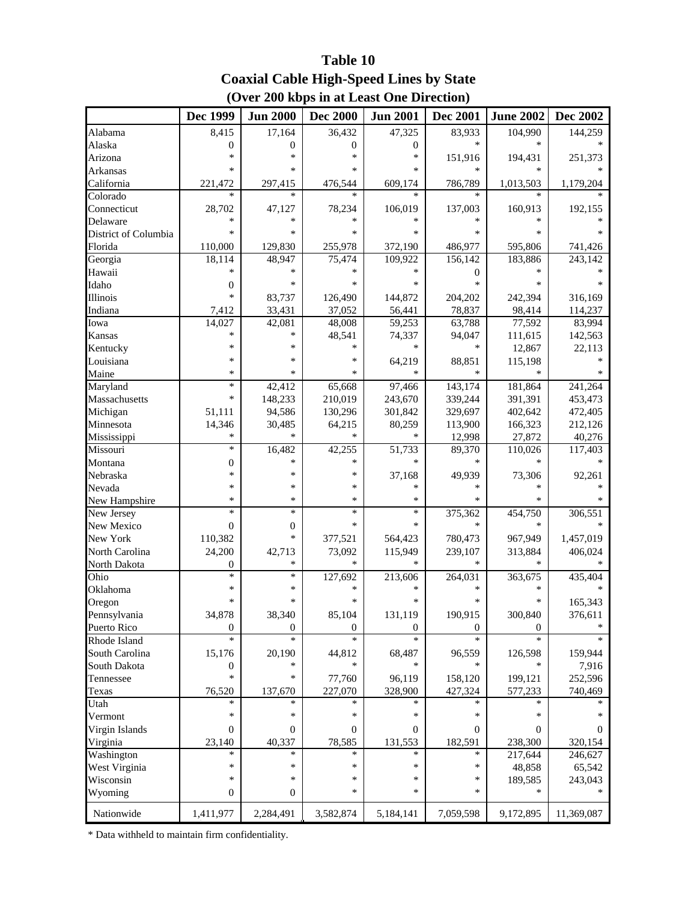## **(Over 200 kbps in at Least One Direction) Table 10 Coaxial Cable High-Speed Lines by State**

|                         | Dec 1999              | <b>Jun 2000</b>            | <b>Dec 2000</b>            | <b>Jun 2001</b>  | <b>Dec 2001</b>          | <b>June 2002</b>   | Dec 2002          |
|-------------------------|-----------------------|----------------------------|----------------------------|------------------|--------------------------|--------------------|-------------------|
| Alabama                 | 8,415                 | 17,164                     | 36,432                     | 47,325           | 83,933                   | 104,990            | 144,259           |
| Alaska                  | $\overline{0}$        | $\mathbf{0}$               | $\boldsymbol{0}$           | $\boldsymbol{0}$ | $\ast$                   | $\ast$             |                   |
| Arizona                 | *                     | *                          | ∗                          | $\ast$           | 151,916                  | 194,431            | 251,373           |
| Arkansas                | *                     | $\ast$                     | *                          | *                | $\ast$                   | $\ast$             |                   |
| California              | 221,472               | 297,415                    | 476,544                    | 609,174          | 786,789                  | 1,013,503          | 1,179,204         |
| Colorado                | *                     | *                          | $\ast$                     | $\ast$           | $\ast$                   |                    |                   |
| Connecticut             | 28,702                | 47,127                     | 78,234                     | 106,019          | 137,003                  | 160,913            | 192,155           |
| Delaware                | *                     | *                          | ∗                          | $\ast$           | *                        | *                  |                   |
| District of Columbia    | *                     | *                          | *                          | *                | *                        | *                  |                   |
| Florida                 | 110,000               | 129,830                    | 255,978                    | 372,190          | 486,977                  | 595,806            | 741,426           |
| Georgia                 | 18,114                | 48,947                     | 75,474                     | 109,922          | 156,142                  | 183,886            | 243,142           |
| Hawaii                  | $\ast$                | $\ast$                     | $\ast$                     | $\ast$           | 0                        | $\ast$             | *                 |
| Idaho                   | $\theta$              | $\ast$                     | *                          | *                | $\ast$                   | *                  |                   |
| Illinois                | $\ast$                | 83,737                     | 126,490                    | 144,872          | 204,202                  | 242,394            | 316,169           |
| Indiana                 | 7,412                 | 33,431                     | 37,052                     | 56,441           | 78,837                   | 98,414             | 114,237           |
| Iowa                    | 14,027                | 42,081                     | 48,008                     | 59,253           | 63,788                   | 77,592             | 83,994            |
| Kansas                  | *                     | *                          | 48,541                     | 74,337           | 94,047                   | 111,615            | 142,563           |
| Kentucky                | *                     | $\ast$                     | $\ast$                     | *                | *                        | 12,867             | 22,113            |
| Louisiana               | *                     | $\ast$                     | ∗                          | 64,219           | 88,851                   | 115,198            | $\ast$            |
| Maine                   | *                     | $\ast$                     | *                          | $\ast$           | $\ast$                   |                    | *                 |
| Maryland                | $\ast$                | 42,412                     | 65,668                     | 97,466           | 143,174                  | 181,864            | 241,264           |
| Massachusetts           | *                     | 148,233                    | 210,019                    | 243,670          | 339,244                  | 391,391            | 453,473           |
| Michigan                | 51,111                | 94,586                     | 130,296                    | 301,842          | 329,697                  | 402,642            | 472,405           |
| Minnesota               | 14,346                |                            |                            |                  |                          | 166,323            |                   |
|                         | *                     | 30,485<br>*                | 64,215<br>$\ast$           | 80,259<br>$\ast$ | 113,900<br>12,998        | 27,872             | 212,126<br>40,276 |
| Mississippi<br>Missouri | $\ast$                | 16,482                     | 42,255                     | 51,733           | 89,370                   | 110,026            | 117,403           |
| Montana                 | $\overline{0}$        | $\ast$                     | $\ast$                     | $\ast$           | *                        | $\ast$             |                   |
| Nebraska                | *                     | $\ast$                     | ∗                          |                  |                          |                    |                   |
|                         | *                     | *                          | ∗                          | 37,168<br>*      | 49,939<br>*              | 73,306             | 92,261            |
| Nevada                  | *                     | *                          | $\ast$                     | $\ast$           | $\ast$                   | $\ast$             | *                 |
| New Hampshire           | $\ast$                | $\ast$                     | $\ast$                     | $\ast$           |                          |                    |                   |
| New Jersey              |                       |                            | $\ast$                     | $\ast$           | 375,362<br>$\ast$        | 454,750<br>$\ast$  | 306,551<br>$\ast$ |
| New Mexico              | $\boldsymbol{0}$      | $\boldsymbol{0}$<br>$\ast$ |                            |                  |                          |                    |                   |
| New York                | 110,382               |                            | 377,521                    | 564,423          | 780,473                  | 967,949            | 1,457,019         |
| North Carolina          | 24,200                | 42,713<br>$\ast$           | 73,092<br>$\ast$           | 115,949<br>*     | 239,107<br>*             | 313,884<br>*       | 406,024           |
| North Dakota            | $\theta$<br>$\ast$    | $\ast$                     |                            |                  |                          |                    |                   |
| Ohio                    | *                     | $\ast$                     | 127,692<br>*               | 213,606<br>*     | 264,031<br>*             | 363,675<br>$\ast$  | 435,404           |
| Oklahoma                | *                     | *                          | *                          | *                | *                        | *                  |                   |
| Oregon                  |                       |                            |                            |                  |                          |                    | 165,343           |
| Pennsylvania            | 34,878                | 38,340                     | 85,104                     | 131,119          | 190,915                  | 300,840            | 376,611<br>*      |
| Puerto Rico             | $\boldsymbol{0}$<br>* | $\theta$<br>$\ast$         | $\boldsymbol{0}$<br>$\ast$ | 0<br>$\ast$      | $\overline{0}$<br>$\ast$ | $\theta$<br>$\ast$ | $\ast$            |
| Rhode Island            |                       |                            |                            |                  |                          |                    |                   |
| South Carolina          | 15,176                | 20,190                     | 44,812                     | 68,487           | 96,559                   | 126,598            | 159,944           |
| South Dakota            | $\mathbf{0}$          | *                          | $\ast$                     | ∗                | *                        | *                  | 7,916             |
| Tennessee               | *                     | ∗                          | 77,760                     | 96,119           | 158,120                  | 199,121            | 252,596           |
| Texas                   | 76,520                | 137,670                    | 227,070                    | 328,900          | 427,324                  | 577,233            | 740,469           |
| Utah                    | *                     | *                          | *                          | *                | *                        | *                  |                   |
| Vermont                 | *                     | ∗                          | ∗                          | $\ast$           | *                        | *                  |                   |
| Virgin Islands          | $\overline{0}$        | $\theta$                   | $\mathbf{0}$               | 0                | 0                        | $\overline{0}$     | $\Omega$          |
| Virginia                | 23,140                | 40,337                     | 78,585                     | 131,553          | 182,591                  | 238,300            | 320,154           |
| Washington              | *                     | *                          | $\ast$                     | *                | *                        | 217,644            | 246,627           |
| West Virginia           | *                     | ∗                          | ∗                          | $\ast$           | $\ast$                   | 48,858             | 65,542            |
| Wisconsin               | *                     | ∗                          | $\ast$                     | $\ast$           | *                        | 189,585            | 243,043           |
| Wyoming                 | $\mathbf{0}$          | $\mathbf{0}$               | ∗                          | $\ast$           | *                        | *                  | *                 |
| Nationwide              | 1,411,977             | 2,284,491                  | 3,582,874                  | 5,184,141        | 7,059,598                | 9,172,895          | 11,369,087        |

\* Data withheld to maintain firm confidentiality.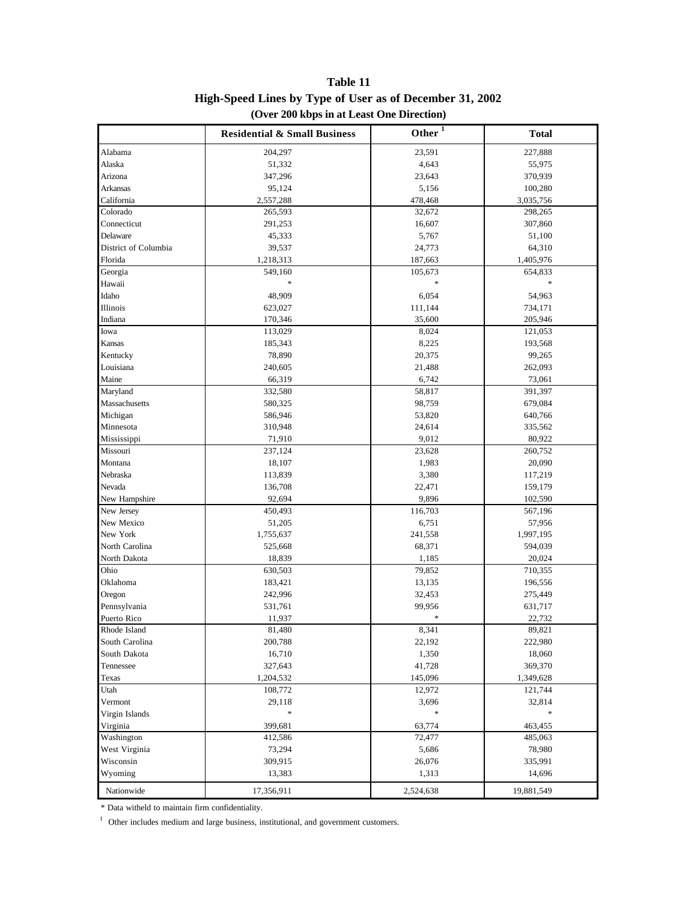|                      | <b>Residential &amp; Small Business</b> | Other $1$ | <b>Total</b> |
|----------------------|-----------------------------------------|-----------|--------------|
| Alabama              | 204,297                                 | 23,591    | 227,888      |
| Alaska               | 51,332                                  | 4,643     | 55,975       |
| Arizona              | 347,296                                 | 23,643    | 370,939      |
| Arkansas             | 95,124                                  | 5,156     | 100,280      |
| California           | 2,557,288                               | 478,468   | 3,035,756    |
| Colorado             | 265,593                                 | 32,672    | 298,265      |
| Connecticut          | 291,253                                 | 16,607    | 307,860      |
| Delaware             | 45,333                                  | 5,767     | 51,100       |
| District of Columbia | 39,537                                  | 24,773    | 64,310       |
| Florida              | 1,218,313                               | 187,663   | 1,405,976    |
| Georgia              | 549,160                                 | 105,673   | 654,833      |
| Hawaii               | $\ast$                                  | *         |              |
| Idaho                | 48,909                                  | 6,054     | 54,963       |
| Illinois             | 623,027                                 | 111,144   | 734,171      |
| Indiana              | 170,346                                 | 35,600    | 205,946      |
| Iowa                 | 113,029                                 | 8,024     | 121,053      |
| Kansas               | 185,343                                 | 8,225     | 193,568      |
| Kentucky             | 78,890                                  | 20,375    | 99,265       |
| Louisiana            | 240,605                                 | 21,488    | 262,093      |
| Maine                | 66,319                                  | 6,742     | 73,061       |
| Maryland             | 332,580                                 | 58,817    | 391,397      |
| Massachusetts        | 580,325                                 | 98,759    | 679,084      |
| Michigan             | 586,946                                 | 53,820    | 640,766      |
| Minnesota            | 310,948                                 | 24,614    | 335,562      |
| Mississippi          | 71,910                                  | 9,012     | 80,922       |
| Missouri             | 237,124                                 | 23,628    | 260,752      |
| Montana              | 18,107                                  | 1,983     | 20,090       |
| Nebraska             | 113,839                                 | 3,380     | 117,219      |
| Nevada               | 136,708                                 | 22,471    | 159,179      |
| New Hampshire        | 92,694                                  | 9,896     | 102,590      |
| New Jersey           | 450,493                                 | 116,703   | 567,196      |
| New Mexico           | 51,205                                  | 6,751     | 57,956       |
| New York             | 1,755,637                               | 241,558   | 1,997,195    |
| North Carolina       | 525,668                                 | 68,371    | 594,039      |
| North Dakota         | 18,839                                  | 1,185     | 20,024       |
| Ohio                 | 630,503                                 | 79,852    | 710,355      |
| Oklahoma             | 183,421                                 | 13,135    | 196,556      |
| Oregon               | 242,996                                 | 32,453    | 275,449      |
| Pennsylvania         | 531,761                                 | 99,956    | 631,717      |
| Puerto Rico          | 11,937                                  |           | 22,732       |
| Rhode Island         | 81,480                                  | 8,341     | 89,821       |
| South Carolina       | 200,788                                 | 22,192    | 222,980      |
| South Dakota         | 16,710                                  | 1,350     | 18,060       |
| Tennessee            | 327,643                                 | 41,728    | 369,370      |
| Texas                | 1,204,532                               | 145,096   | 1,349,628    |
| Utah                 | 108,772                                 | 12,972    | 121,744      |
| Vermont              | 29,118                                  | 3,696     | 32,814       |
| Virgin Islands       | $\ast$                                  | *         | $\ast$       |
| Virginia             | 399,681                                 | 63,774    | 463,455      |
| Washington           | 412,586                                 | 72,477    | 485,063      |
| West Virginia        | 73,294                                  | 5,686     | 78,980       |
| Wisconsin            | 309,915                                 | 26,076    | 335,991      |
| Wyoming              | 13,383                                  | 1,313     | 14,696       |
| Nationwide           | 17,356,911                              | 2,524,638 | 19,881,549   |

**High-Speed Lines by Type of User as of December 31, 2002 Table 11 (Over 200 kbps in at Least One Direction)**

\* Data witheld to maintain firm confidentiality.

 $1$  Other includes medium and large business, institutional, and government customers.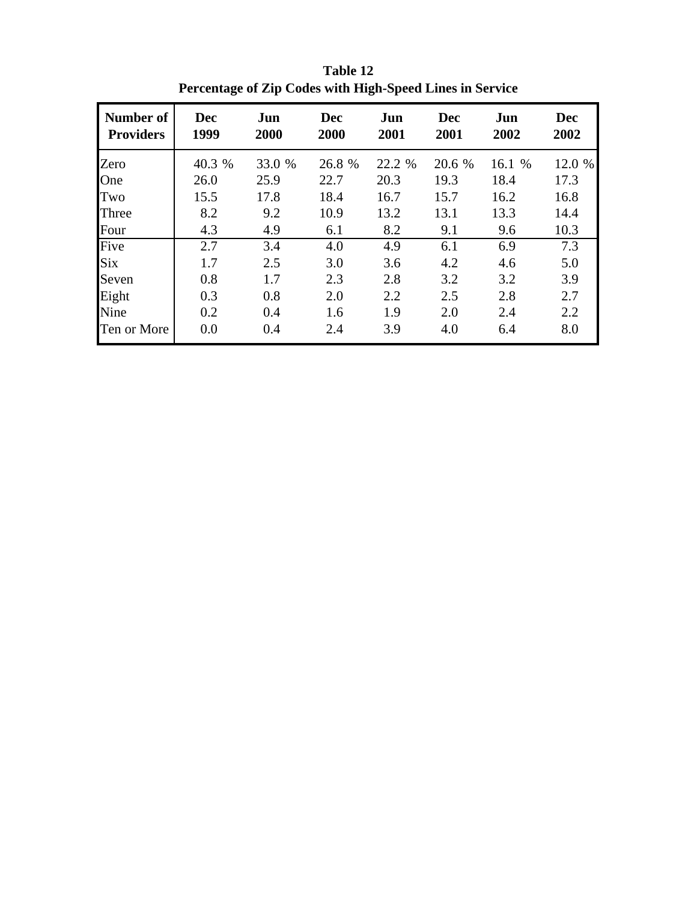| Number of<br><b>Providers</b> | Dec<br>1999 | Jun<br>2000 | <b>Dec</b><br>2000 | Jun<br>2001 | <b>Dec</b><br>2001 | Jun<br>2002 | <b>Dec</b><br>2002 |
|-------------------------------|-------------|-------------|--------------------|-------------|--------------------|-------------|--------------------|
| Zero                          | 40.3 %      | 33.0 %      | 26.8 %             | 22.2 %      | 20.6 %             | 16.1 %      | 12.0 %             |
| One                           | 26.0        | 25.9        | 22.7               | 20.3        | 19.3               | 18.4        | 17.3               |
| Two                           | 15.5        | 17.8        | 18.4               | 16.7        | 15.7               | 16.2        | 16.8               |
| Three                         | 8.2         | 9.2         | 10.9               | 13.2        | 13.1               | 13.3        | 14.4               |
| Four                          | 4.3         | 4.9         | 6.1                | 8.2         | 9.1                | 9.6         | 10.3               |
| Five                          | 2.7         | 3.4         | 4.0                | 4.9         | 6.1                | 6.9         | 7.3                |
| Six                           | 1.7         | 2.5         | 3.0                | 3.6         | 4.2                | 4.6         | 5.0                |
| Seven                         | 0.8         | 1.7         | 2.3                | 2.8         | 3.2                | 3.2         | 3.9                |
| Eight                         | 0.3         | 0.8         | 2.0                | 2.2         | 2.5                | 2.8         | 2.7                |
| Nine                          | 0.2         | 0.4         | 1.6                | 1.9         | 2.0                | 2.4         | 2.2                |
| Ten or More                   | 0.0         | 0.4         | 2.4                | 3.9         | 4.0                | 6.4         | 8.0                |

**Table 12 Percentage of Zip Codes with High-Speed Lines in Service**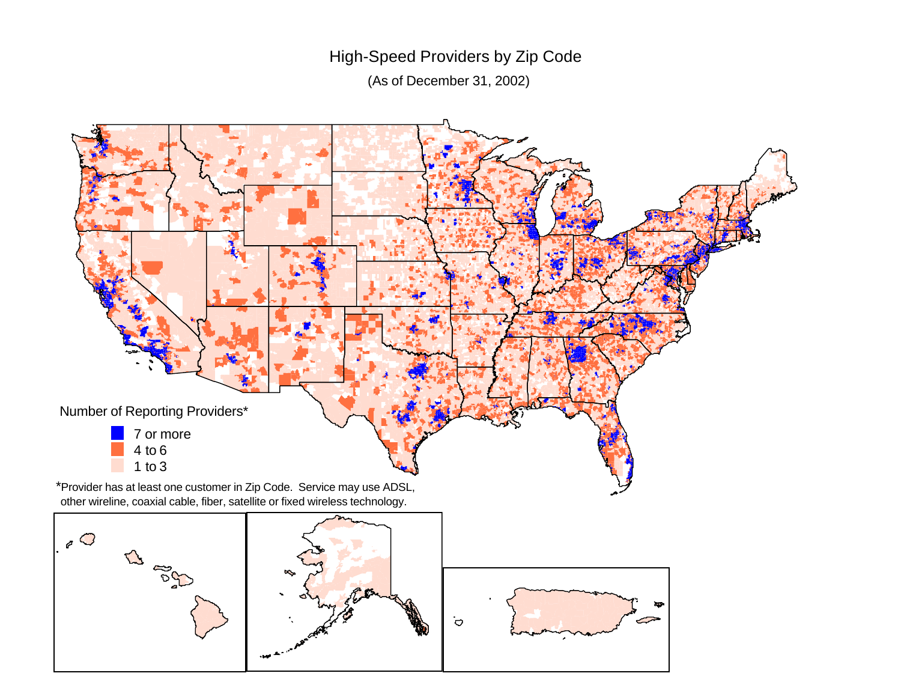# High-Speed Providers by Zip Code

(As of December 31, 2002)



other wireline, coaxial cable, fiber, satellite or fixed wireless technology.

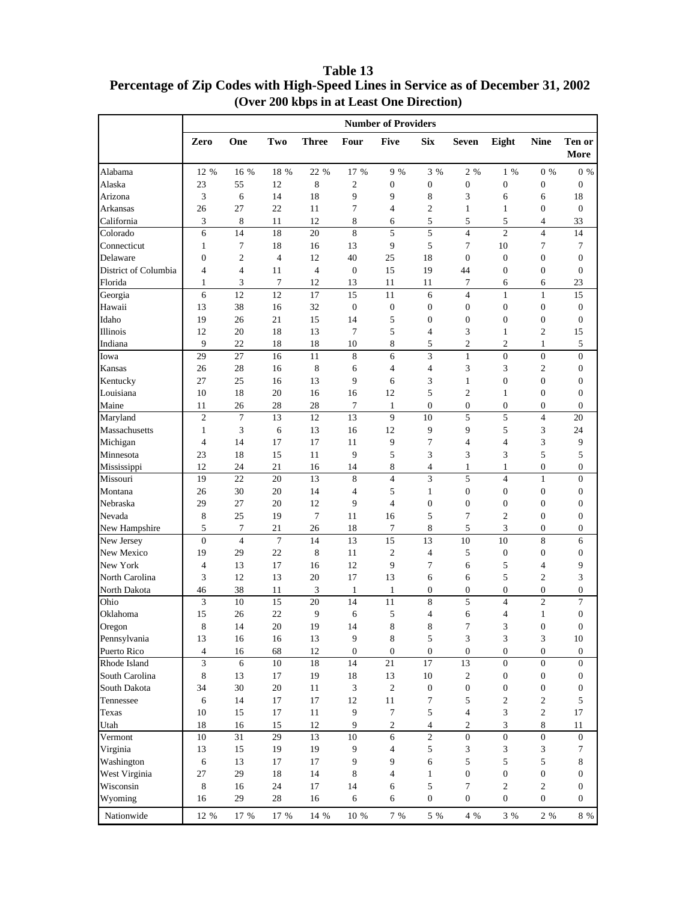Alabama 12 % 16 % 18 % 22 % 17 % 9 % 3 % 2 % 1 % 0 % 0 % Alaska | 23 55 12 8 2 0 0 0 0 0 0 Arizona 3 6 14 18 9 9 8 3 6 6 18 Arkansas | 26 27 22 11 7 4 2 1 1 0 0 California 3 8 11 12 8 6 5 5 5 4 33 Colorado 6 14 18 20 8 5 5 4 2 4 14 Connecticut 1 7 18 16 13 9 5 7 10 7 7 Delaware 1 0 2 4 12 40 25 18 0 0 0 0 District of Columbia  $\begin{array}{ccccccccc} 4 & 4 & 11 & 4 & 0 & 15 & 19 & 44 & 0 & 0 & 0 \end{array}$ Florida 1 3 7 12 13 11 11 7 6 6 23 Georgia 6 12 12 17 15 11 6 4 1 1 15 Hawaii 13 38 16 32 0 0 0 0 0 0 0 Idaho 19 26 21 15 14 5 0 0 0 0 0 Illinois 12 20 18 13 7 5 4 3 1 2 15 Indiana 9 22 18 18 10 8 5 2 2 1 5 Iowa 29 27 16 11 8 6 3 1 0 0 0 Kansas | 26 28 16 8 6 4 4 3 3 2 0 Kentucky 27 25 16 13 9 6 3 1 0 0 0 Louisiana 10 18 20 16 16 12 5 2 1 0 0 Maine 11 26 28 28 7 1 0 0 0 0 0 0 Maryland 1 2 7 13 12 13 9 10 5 5 4 20 Massachusetts 1 3 6 13 16 12 9 9 5 3 24 Michigan 4 14 17 17 11 9 7 4 4 3 9 Minnesota | 23 18 15 11 9 5 3 3 3 5 5 5 Mississippi | 12 24 21 16 14 8 4 1 1 0 0 Missouri | 19 22 20 13 8 4 3 5 4 1 0 Montana 26 30 20 14 4 5 1 0 0 0 0 Nebraska 29 27 20 12 9 4 0 0 0 0 0 Nevada 8 25 19 7 11 16 5 7 2 0 0 New Hampshire | 5 7 21 26 18 7 8 5 3 0 0 New Jersey 1 0 4 7 14 13 15 13 10 10 8 6 New Mexico 19 29 22 8 11 2 4 5 0 0 0 New York 4 13 17 16 12 9 7 6 5 4 9 North Carolina 3 12 13 20 17 13 6 6 5 2 3 North Dakota | 46 38 11 3 1 1 0 0 0 0 0 Ohio 3 10 15 20 14 11 8 5 4 2 7 Oklahoma 15 26 22 9 6 5 4 6 4 1 0 Oregon 8 14 20 19 14 8 8 7 3 0 0 Pennsylvania 13 16 16 13 9 8 5 3 3 3 10 Puerto Rico  $\begin{array}{cccccccc} 4 & 16 & 68 & 12 & 0 & 0 & 0 & 0 & 0 & 0 \end{array}$ Rhode Island | 3 6 10 18 14 21 17 13 0 0 0 South Carolina 8 13 17 19 18 13 10 2 0 0 0 South Dakota | 34 30 20 11 3 2 0 0 0 0 0 0 Tennessee 1 6 14 17 17 12 11 7 5 2 2 5 Texas 10 15 17 11 9 7 5 4 3 2 17 Utah 18 16 15 12 9 2 4 2 3 8 11 Vermont 10 31 29 13 10 6 2 0 0 0 0 Virginia 13 15 19 19 9 4 5 3 3 3 7 Washington | 6 13 17 17 9 9 6 5 5 5 8 West Virginia  $\begin{array}{|c|c|c|c|c|c|c|c|c|} \hline \end{array}$  29 18 14 8 4 1 0 0 0 0 Wisconsin | 8 16 24 17 14 6 5 7 2 2 0 Wyoming 16 29 28 16 6 6 0 0 0 0 0 **More Number of Providers Zero One Two Three Four Five Six Seven Eight Nine Ten or**

Nationwide 12 % 17 % 17 % 14 % 10 % 7 % 5 % 4 % 3 % 2 % 8 %

### **Percentage of Zip Codes with High-Speed Lines in Service as of December 31, 2002 (Over 200 kbps in at Least One Direction) Table 13**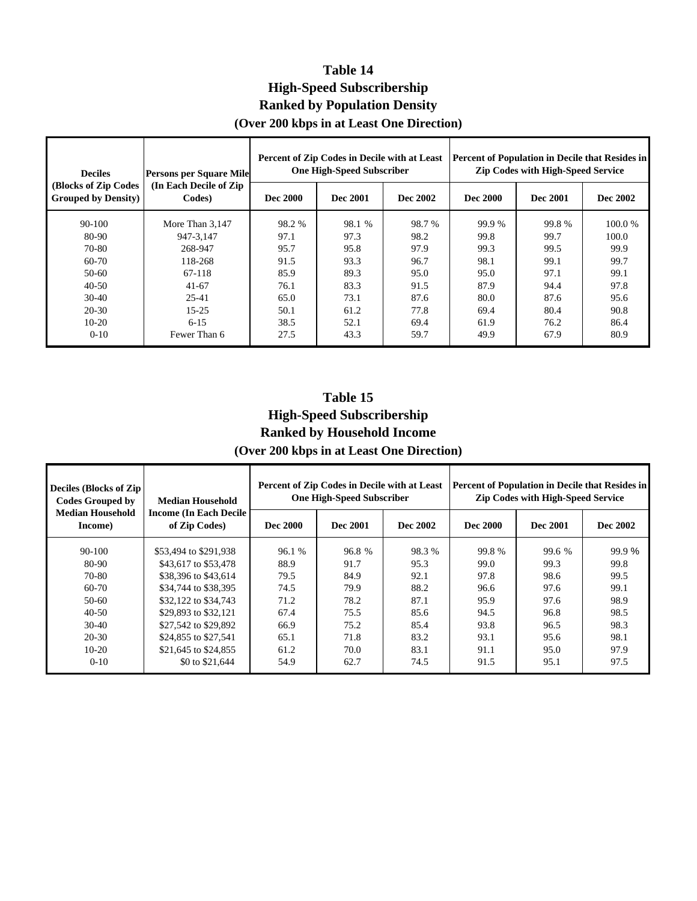## **Table 14 High-Speed Subscribership Ranked by Population Density**

## **(Over 200 kbps in at Least One Direction)**

| <b>Persons per Square Mile</b><br><b>Deciles</b>    |                                   |                 | Percent of Zip Codes in Decile with at Least<br><b>One High-Speed Subscriber</b> |          | Percent of Population in Decile that Resides in<br><b>Zip Codes with High-Speed Service</b> |          |          |
|-----------------------------------------------------|-----------------------------------|-----------------|----------------------------------------------------------------------------------|----------|---------------------------------------------------------------------------------------------|----------|----------|
| (Blocks of Zip Codes<br><b>Grouped by Density</b> ) | (In Each Decile of Zip)<br>Codes) | <b>Dec 2000</b> | Dec 2001                                                                         | Dec 2002 | Dec 2000                                                                                    | Dec 2001 | Dec 2002 |
| $90 - 100$                                          | More Than 3.147                   | 98.2 %          | 98.1 %                                                                           | 98.7 %   | 99.9 %                                                                                      | 99.8%    | 100.0 %  |
| 80-90                                               | 947-3.147                         | 97.1            | 97.3                                                                             | 98.2     | 99.8                                                                                        | 99.7     | 100.0    |
| 70-80                                               | 268-947                           | 95.7            | 95.8                                                                             | 97.9     | 99.3                                                                                        | 99.5     | 99.9     |
| 60-70                                               | 118-268                           | 91.5            | 93.3                                                                             | 96.7     | 98.1                                                                                        | 99.1     | 99.7     |
| $50-60$                                             | 67-118                            | 85.9            | 89.3                                                                             | 95.0     | 95.0                                                                                        | 97.1     | 99.1     |
| $40 - 50$                                           | $41-67$                           | 76.1            | 83.3                                                                             | 91.5     | 87.9                                                                                        | 94.4     | 97.8     |
| $30-40$                                             | 25-41                             | 65.0            | 73.1                                                                             | 87.6     | 80.0                                                                                        | 87.6     | 95.6     |
| 20-30                                               | $15 - 25$                         | 50.1            | 61.2                                                                             | 77.8     | 69.4                                                                                        | 80.4     | 90.8     |
| $10-20$                                             | $6 - 15$                          | 38.5            | 52.1                                                                             | 69.4     | 61.9                                                                                        | 76.2     | 86.4     |
| $0 - 10$                                            | Fewer Than 6                      | 27.5            | 43.3                                                                             | 59.7     | 49.9                                                                                        | 67.9     | 80.9     |

## **High-Speed Subscribership Ranked by Household Income (Over 200 kbps in at Least One Direction**) **Table 15**

|  |  |  | (Over 200 kpps in at Least One Direction) |  |
|--|--|--|-------------------------------------------|--|
|  |  |  |                                           |  |
|  |  |  |                                           |  |

| <b>Deciles (Blocks of Zip)</b><br><b>Codes Grouped by</b> | <b>Median Household</b>                         | Percent of Zip Codes in Decile with at Least<br><b>One High-Speed Subscriber</b> |          |          | <b>Percent of Population in Decile that Resides in</b><br><b>Zip Codes with High-Speed Service</b> |                 |          |
|-----------------------------------------------------------|-------------------------------------------------|----------------------------------------------------------------------------------|----------|----------|----------------------------------------------------------------------------------------------------|-----------------|----------|
| <b>Median Household</b><br>Income)                        | <b>Income (In Each Decile)</b><br>of Zip Codes) | <b>Dec 2000</b>                                                                  | Dec 2001 | Dec 2002 | <b>Dec 2000</b>                                                                                    | <b>Dec 2001</b> | Dec 2002 |
| 90-100                                                    | \$53,494 to \$291,938                           | 96.1 %                                                                           | 96.8 %   | 98.3 %   | 99.8%                                                                                              | 99.6 %          | 99.9 %   |
| 80-90                                                     | \$43,617 to \$53,478                            | 88.9                                                                             | 91.7     | 95.3     | 99.0                                                                                               | 99.3            | 99.8     |
| 70-80                                                     | \$38,396 to \$43,614                            | 79.5                                                                             | 84.9     | 92.1     | 97.8                                                                                               | 98.6            | 99.5     |
| 60-70                                                     | \$34,744 to \$38,395                            | 74.5                                                                             | 79.9     | 88.2     | 96.6                                                                                               | 97.6            | 99.1     |
| $50-60$                                                   | \$32,122 to \$34,743                            | 71.2                                                                             | 78.2     | 87.1     | 95.9                                                                                               | 97.6            | 98.9     |
| $40 - 50$                                                 | \$29,893 to \$32,121                            | 67.4                                                                             | 75.5     | 85.6     | 94.5                                                                                               | 96.8            | 98.5     |
| $30-40$                                                   | \$27,542 to \$29,892                            | 66.9                                                                             | 75.2     | 85.4     | 93.8                                                                                               | 96.5            | 98.3     |
| $20 - 30$                                                 | \$24,855 to \$27,541                            | 65.1                                                                             | 71.8     | 83.2     | 93.1                                                                                               | 95.6            | 98.1     |
| $10-20$                                                   | \$21,645 to \$24,855                            | 61.2                                                                             | 70.0     | 83.1     | 91.1                                                                                               | 95.0            | 97.9     |
| $0 - 10$                                                  | \$0 to \$21,644                                 | 54.9                                                                             | 62.7     | 74.5     | 91.5                                                                                               | 95.1            | 97.5     |